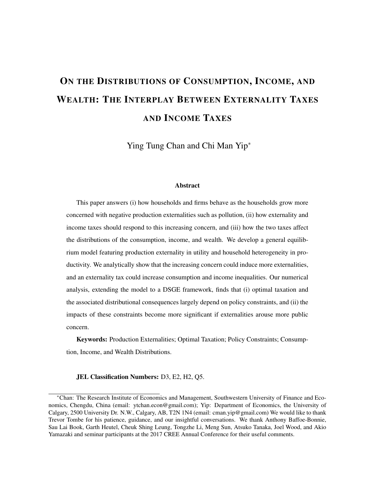# ON THE DISTRIBUTIONS OF CONSUMPTION, INCOME, AND WEALTH: THE INTERPLAY BETWEEN EXTERNALITY TAXES AND INCOME TAXES

Ying Tung Chan and Chi Man Yip<sup>∗</sup>

#### Abstract

This paper answers (i) how households and firms behave as the households grow more concerned with negative production externalities such as pollution, (ii) how externality and income taxes should respond to this increasing concern, and (iii) how the two taxes affect the distributions of the consumption, income, and wealth. We develop a general equilibrium model featuring production externality in utility and household heterogeneity in productivity. We analytically show that the increasing concern could induce more externalities, and an externality tax could increase consumption and income inequalities. Our numerical analysis, extending the model to a DSGE framework, finds that (i) optimal taxation and the associated distributional consequences largely depend on policy constraints, and (ii) the impacts of these constraints become more significant if externalities arouse more public concern.

Keywords: Production Externalities; Optimal Taxation; Policy Constraints; Consumption, Income, and Wealth Distributions.

#### JEL Classification Numbers: D3, E2, H2, Q5.

<sup>∗</sup>Chan: The Research Institute of Economics and Management, Southwestern University of Finance and Economics, Chengdu, China (email: ytchan.econ@gmail.com); Yip: Department of Economics, the University of Calgary, 2500 University Dr. N.W., Calgary, AB, T2N 1N4 (email: cman.yip@gmail.com) We would like to thank Trevor Tombe for his patience, guidance, and our insightful conversations. We thank Anthony Baffoe-Bonnie, Sau Lai Book, Garth Heutel, Cheuk Shing Leung, Tongzhe Li, Meng Sun, Atsuko Tanaka, Joel Wood, and Akio Yamazaki and seminar participants at the 2017 CREE Annual Conference for their useful comments.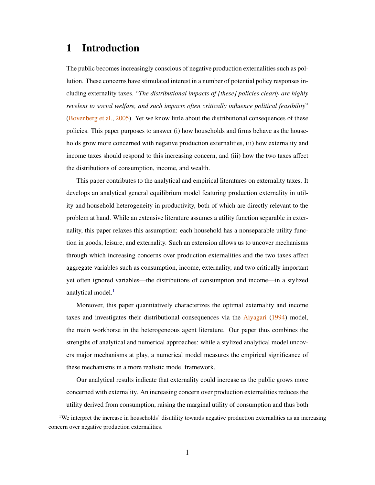## 1 Introduction

The public becomes increasingly conscious of negative production externalities such as pollution. These concerns have stimulated interest in a number of potential policy responses including externality taxes. "*The distributional impacts of [these] policies clearly are highly revelent to social welfare, and such impacts often critically influence political feasibility*" [\(Bovenberg et al.,](#page-40-0) [2005\)](#page-40-0). Yet we know little about the distributional consequences of these policies. This paper purposes to answer (i) how households and firms behave as the households grow more concerned with negative production externalities, (ii) how externality and income taxes should respond to this increasing concern, and (iii) how the two taxes affect the distributions of consumption, income, and wealth.

This paper contributes to the analytical and empirical literatures on externality taxes. It develops an analytical general equilibrium model featuring production externality in utility and household heterogeneity in productivity, both of which are directly relevant to the problem at hand. While an extensive literature assumes a utility function separable in externality, this paper relaxes this assumption: each household has a nonseparable utility function in goods, leisure, and externality. Such an extension allows us to uncover mechanisms through which increasing concerns over production externalities and the two taxes affect aggregate variables such as consumption, income, externality, and two critically important yet often ignored variables—the distributions of consumption and income—in a stylized analytical model.<sup>[1](#page-1-0)</sup>

Moreover, this paper quantitatively characterizes the optimal externality and income taxes and investigates their distributional consequences via the [Aiyagari](#page-39-0) [\(1994\)](#page-39-0) model, the main workhorse in the heterogeneous agent literature. Our paper thus combines the strengths of analytical and numerical approaches: while a stylized analytical model uncovers major mechanisms at play, a numerical model measures the empirical significance of these mechanisms in a more realistic model framework.

Our analytical results indicate that externality could increase as the public grows more concerned with externality. An increasing concern over production externalities reduces the utility derived from consumption, raising the marginal utility of consumption and thus both

<span id="page-1-0"></span><sup>&</sup>lt;sup>1</sup>We interpret the increase in households' disutility towards negative production externalities as an increasing concern over negative production externalities.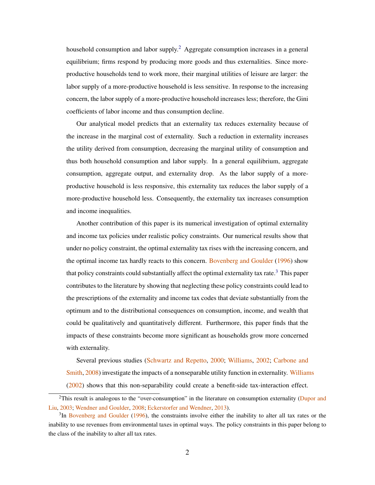household consumption and labor supply.<sup>[2](#page-2-0)</sup> Aggregate consumption increases in a general equilibrium; firms respond by producing more goods and thus externalities. Since moreproductive households tend to work more, their marginal utilities of leisure are larger: the labor supply of a more-productive household is less sensitive. In response to the increasing concern, the labor supply of a more-productive household increases less; therefore, the Gini coefficients of labor income and thus consumption decline.

Our analytical model predicts that an externality tax reduces externality because of the increase in the marginal cost of externality. Such a reduction in externality increases the utility derived from consumption, decreasing the marginal utility of consumption and thus both household consumption and labor supply. In a general equilibrium, aggregate consumption, aggregate output, and externality drop. As the labor supply of a moreproductive household is less responsive, this externality tax reduces the labor supply of a more-productive household less. Consequently, the externality tax increases consumption and income inequalities.

Another contribution of this paper is its numerical investigation of optimal externality and income tax policies under realistic policy constraints. Our numerical results show that under no policy constraint, the optimal externality tax rises with the increasing concern, and the optimal income tax hardly reacts to this concern. [Bovenberg and Goulder](#page-40-1) [\(1996\)](#page-40-1) show that policy constraints could substantially affect the optimal externality tax rate.[3](#page-2-1) This paper contributes to the literature by showing that neglecting these policy constraints could lead to the prescriptions of the externality and income tax codes that deviate substantially from the optimum and to the distributional consequences on consumption, income, and wealth that could be qualitatively and quantitatively different. Furthermore, this paper finds that the impacts of these constraints become more significant as households grow more concerned with externality.

Several previous studies [\(Schwartz and Repetto,](#page-43-0) [2000;](#page-43-0) [Williams,](#page-44-0) [2002;](#page-44-0) [Carbone and](#page-40-2) [Smith,](#page-40-2) [2008\)](#page-40-2) investigate the impacts of a nonseparable utility function in externality. [Williams](#page-44-0) [\(2002\)](#page-44-0) shows that this non-separability could create a benefit-side tax-interaction effect.

<span id="page-2-0"></span><sup>&</sup>lt;sup>2</sup>This result is analogous to the "over-consumption" in the literature on consumption externality [\(Dupor and](#page-41-0) [Liu,](#page-41-0) [2003;](#page-41-0) [Wendner and Goulder,](#page-44-1) [2008;](#page-44-1) [Eckerstorfer and Wendner,](#page-41-1) [2013\)](#page-41-1).

<span id="page-2-1"></span><sup>&</sup>lt;sup>3</sup>In [Bovenberg and Goulder](#page-40-1) [\(1996\)](#page-40-1), the constraints involve either the inability to alter all tax rates or the inability to use revenues from environmental taxes in optimal ways. The policy constraints in this paper belong to the class of the inability to alter all tax rates.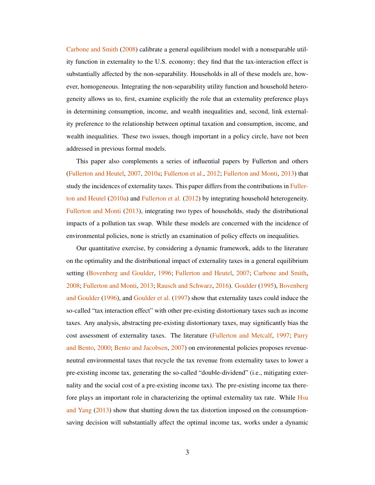[Carbone and Smith](#page-40-2) [\(2008\)](#page-40-2) calibrate a general equilibrium model with a nonseparable utility function in externality to the U.S. economy; they find that the tax-interaction effect is substantially affected by the non-separability. Households in all of these models are, however, homogeneous. Integrating the non-separability utility function and household heterogeneity allows us to, first, examine explicitly the role that an externality preference plays in determining consumption, income, and wealth inequalities and, second, link externality preference to the relationship between optimal taxation and consumption, income, and wealth inequalities. These two issues, though important in a policy circle, have not been addressed in previous formal models.

This paper also complements a series of influential papers by Fullerton and others [\(Fullerton and Heutel,](#page-41-2) [2007,](#page-41-2) [2010a;](#page-41-3) [Fullerton et al.,](#page-41-4) [2012;](#page-41-4) [Fullerton and Monti,](#page-42-0) [2013\)](#page-42-0) that study the incidences of externality taxes. This paper differs from the contributions in [Fuller](#page-41-3)[ton and Heutel](#page-41-3) [\(2010a\)](#page-41-3) and [Fullerton et al.](#page-41-4) [\(2012\)](#page-41-4) by integrating household heterogeneity. [Fullerton and Monti](#page-42-0) [\(2013\)](#page-42-0), integrating two types of households, study the distributional impacts of a pollution tax swap. While these models are concerned with the incidence of environmental policies, none is strictly an examination of policy effects on inequalities.

Our quantitative exercise, by considering a dynamic framework, adds to the literature on the optimality and the distributional impact of externality taxes in a general equilibrium setting [\(Bovenberg and Goulder,](#page-40-1) [1996;](#page-40-1) [Fullerton and Heutel,](#page-41-2) [2007;](#page-41-2) [Carbone and Smith,](#page-40-2) [2008;](#page-40-2) [Fullerton and Monti,](#page-42-0) [2013;](#page-42-0) [Rausch and Schwarz,](#page-43-1) [2016\)](#page-43-1). [Goulder](#page-42-1) [\(1995\)](#page-42-1), [Bovenberg](#page-40-1) [and Goulder](#page-40-1) [\(1996\)](#page-40-1), and [Goulder et al.](#page-42-2) [\(1997\)](#page-42-2) show that externality taxes could induce the so-called "tax interaction effect" with other pre-existing distortionary taxes such as income taxes. Any analysis, abstracting pre-existing distortionary taxes, may significantly bias the cost assessment of externality taxes. The literature [\(Fullerton and Metcalf,](#page-42-3) [1997;](#page-42-3) [Parry](#page-43-2) [and Bento,](#page-43-2) [2000;](#page-43-2) [Bento and Jacobsen,](#page-40-3) [2007\)](#page-40-3) on environmental policies proposes revenueneutral environmental taxes that recycle the tax revenue from externality taxes to lower a pre-existing income tax, generating the so-called "double-dividend" (i.e., mitigating externality and the social cost of a pre-existing income tax). The pre-existing income tax there-fore plays an important role in characterizing the optimal externality tax rate. While [Hsu](#page-42-4) [and Yang](#page-42-4) [\(2013\)](#page-42-4) show that shutting down the tax distortion imposed on the consumptionsaving decision will substantially affect the optimal income tax, works under a dynamic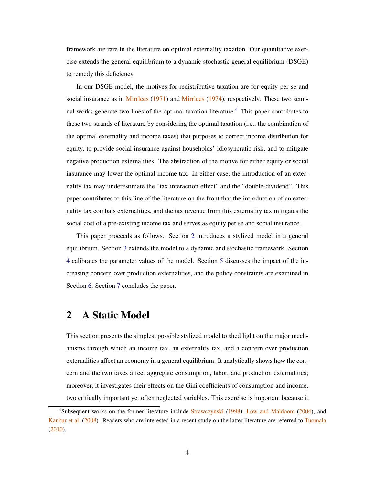framework are rare in the literature on optimal externality taxation. Our quantitative exercise extends the general equilibrium to a dynamic stochastic general equilibrium (DSGE) to remedy this deficiency.

In our DSGE model, the motives for redistributive taxation are for equity per se and social insurance as in [Mirrlees](#page-43-4) [\(1971\)](#page-43-3) and Mirrlees [\(1974\)](#page-43-4), respectively. These two semi-nal works generate two lines of the optimal taxation literature.<sup>[4](#page-4-0)</sup> This paper contributes to these two strands of literature by considering the optimal taxation (i.e., the combination of the optimal externality and income taxes) that purposes to correct income distribution for equity, to provide social insurance against households' idiosyncratic risk, and to mitigate negative production externalities. The abstraction of the motive for either equity or social insurance may lower the optimal income tax. In either case, the introduction of an externality tax may underestimate the "tax interaction effect" and the "double-dividend". This paper contributes to this line of the literature on the front that the introduction of an externality tax combats externalities, and the tax revenue from this externality tax mitigates the social cost of a pre-existing income tax and serves as equity per se and social insurance.

This paper proceeds as follows. Section [2](#page-4-1) introduces a stylized model in a general equilibrium. Section [3](#page-14-0) extends the model to a dynamic and stochastic framework. Section [4](#page-20-0) calibrates the parameter values of the model. Section [5](#page-22-0) discusses the impact of the increasing concern over production externalities, and the policy constraints are examined in Section [6.](#page-25-0) Section [7](#page-36-0) concludes the paper.

## <span id="page-4-1"></span>2 A Static Model

This section presents the simplest possible stylized model to shed light on the major mechanisms through which an income tax, an externality tax, and a concern over production externalities affect an economy in a general equilibrium. It analytically shows how the concern and the two taxes affect aggregate consumption, labor, and production externalities; moreover, it investigates their effects on the Gini coefficients of consumption and income, two critically important yet often neglected variables. This exercise is important because it

<span id="page-4-0"></span><sup>4</sup>Subsequent works on the former literature include [Strawczynski](#page-43-5) [\(1998\)](#page-43-5), [Low and Maldoom](#page-43-6) [\(2004\)](#page-43-6), and [Kanbur et al.](#page-42-5) [\(2008\)](#page-42-5). Readers who are interested in a recent study on the latter literature are referred to [Tuomala](#page-44-2) [\(2010\)](#page-44-2).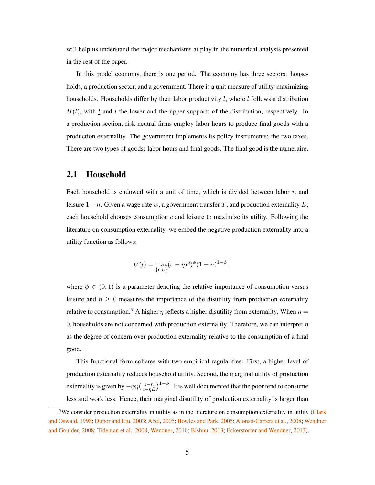will help us understand the major mechanisms at play in the numerical analysis presented in the rest of the paper.

In this model economy, there is one period. The economy has three sectors: households, a production sector, and a government. There is a unit measure of utility-maximizing households. Households differ by their labor productivity  $l$ , where  $l$  follows a distribution  $H(l)$ , with l and l the lower and the upper supports of the distribution, respectively. In a production section, risk-neutral firms employ labor hours to produce final goods with a production externality. The government implements its policy instruments: the two taxes. There are two types of goods: labor hours and final goods. The final good is the numeraire.

### 2.1 Household

Each household is endowed with a unit of time, which is divided between labor  $n$  and leisure  $1 - n$ . Given a wage rate w, a government transfer T, and production externality E, each household chooses consumption  $c$  and leisure to maximize its utility. Following the literature on consumption externality, we embed the negative production externality into a utility function as follows:

<span id="page-5-1"></span>
$$
U(l) = \max_{\{c,n\}} (c - \eta E)^{\phi} (1 - n)^{1 - \phi},
$$

where  $\phi \in (0, 1)$  is a parameter denoting the relative importance of consumption versus leisure and  $\eta \geq 0$  measures the importance of the disutility from production externality relative to consumption.<sup>[5](#page-5-0)</sup> A higher  $\eta$  reflects a higher disutility from externality. When  $\eta$  = 0, households are not concerned with production externality. Therefore, we can interpret  $\eta$ as the degree of concern over production externality relative to the consumption of a final good.

This functional form coheres with two empirical regularities. First, a higher level of production externality reduces household utility. Second, the marginal utility of production externality is given by  $-\phi\eta\big(\frac{1-n}{c-\eta E}\big)^{1-\phi}$ . It is well documented that the poor tend to consume less and work less. Hence, their marginal disutility of production externality is larger than

<span id="page-5-0"></span><sup>&</sup>lt;sup>5</sup>We consider production externality in utility as in the literature on consumption externality in utility [\(Clark](#page-40-4) [and Oswald,](#page-40-4) [1998;](#page-40-4) [Dupor and Liu,](#page-41-0) [2003;](#page-41-0) [Abel,](#page-39-1) [2005;](#page-39-1) [Bowles and Park,](#page-40-5) [2005;](#page-40-5) [Alonso-Carrera et al.,](#page-39-2) [2008;](#page-39-2) [Wendner](#page-44-1) [and Goulder,](#page-44-1) [2008;](#page-44-1) [Tideman et al.,](#page-43-7) [2008;](#page-43-7) [Wendner,](#page-44-3) [2010;](#page-44-3) [Bishnu,](#page-40-6) [2013;](#page-40-6) [Eckerstorfer and Wendner,](#page-41-1) [2013\)](#page-41-1).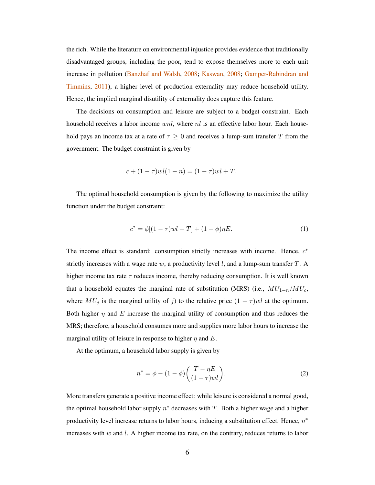the rich. While the literature on environmental injustice provides evidence that traditionally disadvantaged groups, including the poor, tend to expose themselves more to each unit increase in pollution [\(Banzhaf and Walsh,](#page-40-7) [2008;](#page-40-7) [Kaswan,](#page-43-8) [2008;](#page-43-8) [Gamper-Rabindran and](#page-42-6) [Timmins,](#page-42-6) [2011\)](#page-42-6), a higher level of production externality may reduce household utility. Hence, the implied marginal disutility of externality does capture this feature.

The decisions on consumption and leisure are subject to a budget constraint. Each household receives a labor income  $wnl$ , where  $nl$  is an effective labor hour. Each household pays an income tax at a rate of  $\tau \geq 0$  and receives a lump-sum transfer T from the government. The budget constraint is given by

$$
c + (1 - \tau)wl(1 - n) = (1 - \tau)wl + T.
$$

The optimal household consumption is given by the following to maximize the utility function under the budget constraint:

$$
c^* = \phi[(1 - \tau)wl + T] + (1 - \phi)\eta E.
$$
 (1)

The income effect is standard: consumption strictly increases with income. Hence,  $c^*$ strictly increases with a wage rate  $w$ , a productivity level  $l$ , and a lump-sum transfer  $T$ . A higher income tax rate  $\tau$  reduces income, thereby reducing consumption. It is well known that a household equates the marginal rate of substitution (MRS) (i.e.,  $MU_{1-n}/MU_c$ , where  $MU_j$  is the marginal utility of j) to the relative price  $(1 - \tau)wl$  at the optimum. Both higher  $\eta$  and E increase the marginal utility of consumption and thus reduces the MRS; therefore, a household consumes more and supplies more labor hours to increase the marginal utility of leisure in response to higher  $\eta$  and E.

At the optimum, a household labor supply is given by

<span id="page-6-0"></span>
$$
n^* = \phi - (1 - \phi) \left( \frac{T - \eta E}{(1 - \tau)wl} \right).
$$
 (2)

More transfers generate a positive income effect: while leisure is considered a normal good, the optimal household labor supply  $n^*$  decreases with T. Both a higher wage and a higher productivity level increase returns to labor hours, inducing a substitution effect. Hence,  $n^*$ increases with  $w$  and  $l$ . A higher income tax rate, on the contrary, reduces returns to labor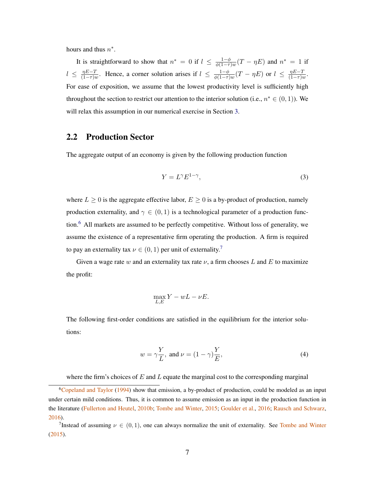hours and thus  $n^*$ .

It is straightforward to show that  $n^* = 0$  if  $l \leq \frac{1-\phi}{\phi(1-\tau)}$  $\frac{1-\phi}{\phi(1-\tau)w}(T-\eta E)$  and  $n^*=1$  if  $l \leq \frac{\eta E - T}{(1 - \tau)g}$  $\frac{\eta E-T}{(1-\tau)w}$ . Hence, a corner solution arises if  $l \leq \frac{1-\phi}{\phi(1-\tau)}$  $\frac{1-\phi}{\phi(1-\tau)w}(T-\eta E)$  or  $l \ \leq \ \frac{\eta E-T}{(1-\tau)\iota}$  $\frac{\eta E - I}{(1 - \tau)w}$ . For ease of exposition, we assume that the lowest productivity level is sufficiently high throughout the section to restrict our attention to the interior solution (i.e.,  $n^* \in (0,1)$ ). We will relax this assumption in our numerical exercise in Section [3.](#page-14-0)

## 2.2 Production Sector

The aggregate output of an economy is given by the following production function

<span id="page-7-2"></span>
$$
Y = L^{\gamma} E^{1-\gamma},\tag{3}
$$

where  $L \geq 0$  is the aggregate effective labor,  $E \geq 0$  is a by-product of production, namely production externality, and  $\gamma \in (0,1)$  is a technological parameter of a production function.[6](#page-7-0) All markets are assumed to be perfectly competitive. Without loss of generality, we assume the existence of a representative firm operating the production. A firm is required to pay an externality tax  $\nu \in (0,1)$  per unit of externality.<sup>[7](#page-7-1)</sup>

Given a wage rate w and an externality tax rate  $\nu$ , a firm chooses L and E to maximize the profit:

<span id="page-7-3"></span>
$$
\max_{L,E} Y - wL - \nu E.
$$

The following first-order conditions are satisfied in the equilibrium for the interior solutions:

$$
w = \gamma \frac{Y}{L}, \text{ and } \nu = (1 - \gamma) \frac{Y}{E}, \tag{4}
$$

<span id="page-7-0"></span>where the firm's choices of  $E$  and  $L$  equate the marginal cost to the corresponding marginal

<sup>&</sup>lt;sup>6</sup>[Copeland and Taylor](#page-41-5) [\(1994\)](#page-41-5) show that emission, a by-product of production, could be modeled as an input under certain mild conditions. Thus, it is common to assume emission as an input in the production function in the literature [\(Fullerton and Heutel,](#page-41-6) [2010b;](#page-41-6) [Tombe and Winter,](#page-44-4) [2015;](#page-44-4) [Goulder et al.,](#page-42-7) [2016;](#page-42-7) [Rausch and Schwarz,](#page-43-1) [2016\)](#page-43-1).

<span id="page-7-1"></span><sup>&</sup>lt;sup>7</sup>Instead of assuming  $\nu \in (0,1)$ , one can always normalize the unit of externality. See [Tombe and Winter](#page-44-4) [\(2015\)](#page-44-4).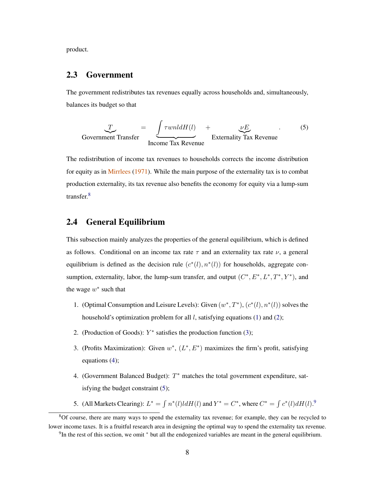product.

## 2.3 Government

The government redistributes tax revenues equally across households and, simultaneously, balances its budget so that

<span id="page-8-1"></span>
$$
\underbrace{T}_{\text{Government Transfer}} = \underbrace{\int \tau w n l dH(l)}_{\text{Income Tax Revenue}} + \underbrace{\nu E}_{\text{Externality Tax Revenue}}.
$$
\n(5)

The redistribution of income tax revenues to households corrects the income distribution for equity as in [Mirrlees](#page-43-3) [\(1971\)](#page-43-3). While the main purpose of the externality tax is to combat production externality, its tax revenue also benefits the economy for equity via a lump-sum transfer.[8](#page-8-0)

## 2.4 General Equilibrium

This subsection mainly analyzes the properties of the general equilibrium, which is defined as follows. Conditional on an income tax rate  $\tau$  and an externality tax rate  $\nu$ , a general equilibrium is defined as the decision rule  $(c^*(l), n^*(l))$  for households, aggregate consumption, externality, labor, the lump-sum transfer, and output  $(C^*, E^*, L^*, T^*, Y^*)$ , and the wage  $w^*$  such that

- 1. (Optimal Consumption and Leisure Levels): Given  $(w^*, T^*)$ ,  $(c^*(l), n^*(l))$  solves the household's optimization problem for all  $l$ , satisfying equations [\(1\)](#page-5-1) and [\(2\)](#page-6-0);
- 2. (Production of Goods):  $Y^*$  satisfies the production function [\(3\)](#page-7-2);
- 3. (Profits Maximization): Given  $w^*$ ,  $(L^*, E^*)$  maximizes the firm's profit, satisfying equations [\(4\)](#page-7-3);
- 4. (Government Balanced Budget):  $T^*$  matches the total government expenditure, satisfying the budget constraint [\(5\)](#page-8-1);
- 5. (All Markets Clearing):  $L^* = \int n^*(l)ldH(l)$  and  $Y^* = C^*$ , where  $C^* = \int c^*(l) dH(l)$ .<sup>[9](#page-8-2)</sup>

<span id="page-8-0"></span><sup>&</sup>lt;sup>8</sup>Of course, there are many ways to spend the externality tax revenue; for example, they can be recycled to lower income taxes. It is a fruitful research area in designing the optimal way to spend the externality tax revenue.

<span id="page-8-2"></span><sup>&</sup>lt;sup>9</sup>In the rest of this section, we omit \* but all the endogenized variables are meant in the general equilibrium.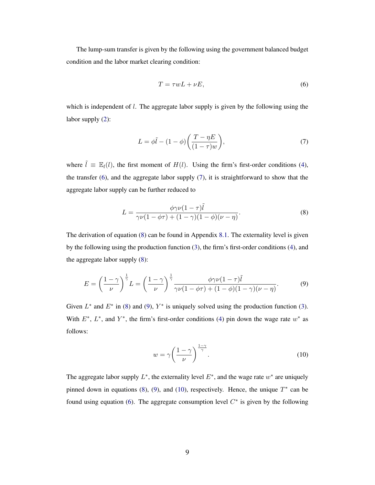The lump-sum transfer is given by the following using the government balanced budget condition and the labor market clearing condition:

<span id="page-9-0"></span>
$$
T = \tau w L + \nu E,\tag{6}
$$

which is independent of  $l$ . The aggregate labor supply is given by the following using the labor supply [\(2\)](#page-6-0):

<span id="page-9-1"></span>
$$
L = \phi \tilde{l} - (1 - \phi) \left( \frac{T - \eta E}{(1 - \tau) w} \right),\tag{7}
$$

where  $\tilde{l} \equiv \mathbb{E}_{l}(l)$ , the first moment of  $H(l)$ . Using the firm's first-order conditions [\(4\)](#page-7-3), the transfer [\(6\)](#page-9-0), and the aggregate labor supply [\(7\)](#page-9-1), it is straightforward to show that the aggregate labor supply can be further reduced to

<span id="page-9-2"></span>
$$
L = \frac{\phi \gamma \nu (1 - \tau) \tilde{l}}{\gamma \nu (1 - \phi \tau) + (1 - \gamma)(1 - \phi)(\nu - \eta)}.
$$
\n(8)

The derivation of equation [\(8\)](#page-9-2) can be found in Appendix [8.1.](#page-37-0) The externality level is given by the following using the production function [\(3\)](#page-7-2), the firm's first-order conditions [\(4\)](#page-7-3), and the aggregate labor supply [\(8\)](#page-9-2):

<span id="page-9-3"></span>
$$
E = \left(\frac{1-\gamma}{\nu}\right)^{\frac{1}{\gamma}} L = \left(\frac{1-\gamma}{\nu}\right)^{\frac{1}{\gamma}} \frac{\phi \gamma \nu (1-\tau) \tilde{l}}{\gamma \nu (1-\phi \tau) + (1-\phi)(1-\gamma)(\nu-\eta)}.
$$
(9)

Given  $L^*$  and  $E^*$  in [\(8\)](#page-9-2) and [\(9\)](#page-9-3),  $Y^*$  is uniquely solved using the production function [\(3\)](#page-7-2). With  $E^*$ ,  $L^*$ , and  $Y^*$ , the firm's first-order conditions [\(4\)](#page-7-3) pin down the wage rate  $w^*$  as follows:

<span id="page-9-4"></span>
$$
w = \gamma \left(\frac{1-\gamma}{\nu}\right)^{\frac{1-\gamma}{\gamma}}.\tag{10}
$$

The aggregate labor supply  $L^*$ , the externality level  $E^*$ , and the wage rate  $w^*$  are uniquely pinned down in equations [\(8\)](#page-9-2), [\(9\)](#page-9-3), and [\(10\)](#page-9-4), respectively. Hence, the unique  $T^*$  can be found using equation [\(6\)](#page-9-0). The aggregate consumption level  $C^*$  is given by the following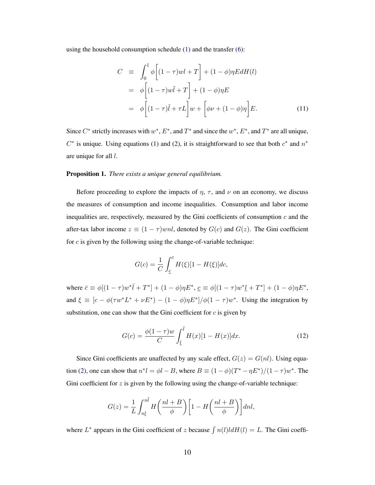using the household consumption schedule [\(1\)](#page-5-1) and the transfer [\(6\)](#page-9-0):

<span id="page-10-0"></span>
$$
C \equiv \int_0^1 \phi \left[ (1 - \tau)wl + T \right] + (1 - \phi)\eta EdH(l)
$$
  

$$
= \phi \left[ (1 - \tau)w\tilde{l} + T \right] + (1 - \phi)\eta E
$$
  

$$
= \phi \left[ (1 - \tau)\tilde{l} + \tau L \right] w + \left[ \phi \nu + (1 - \phi)\eta \right] E.
$$
 (11)

Since  $C^*$  strictly increases with  $w^*$ ,  $E^*$ , and  $T^*$  and since the  $w^*$ ,  $E^*$ , and  $T^*$  are all unique,  $C^*$  is unique. Using equations [\(1\)](#page-5-1) and [\(2\)](#page-6-0), it is straightforward to see that both  $c^*$  and  $n^*$ are unique for all l.

#### Proposition 1. *There exists a unique general equilibrium.*

Before proceeding to explore the impacts of  $\eta$ ,  $\tau$ , and  $\nu$  on an economy, we discuss the measures of consumption and income inequalities. Consumption and labor income inequalities are, respectively, measured by the Gini coefficients of consumption  $c$  and the after-tax labor income  $z \equiv (1 - \tau)$ *wnl*, denoted by  $G(c)$  and  $G(z)$ . The Gini coefficient for  $c$  is given by the following using the change-of-variable technique:

<span id="page-10-1"></span>
$$
G(c) = \frac{1}{C} \int_{\underline{c}}^{\overline{c}} H(\xi)[1 - H(\xi)]dc,
$$

where  $\bar{c} \equiv \phi[(1-\tau)w^*\bar{l} + T^*] + (1-\phi)\eta E^*, \ \underline{c} \equiv \phi[(1-\tau)w^*\underline{l} + T^*] + (1-\phi)\eta E^*,$ and  $\xi \equiv [c - \phi(\tau w^* L^* + \nu E^*) - (1 - \phi)\eta E^*]/\phi(1 - \tau)w^*$ . Using the integration by substitution, one can show that the Gini coefficient for  $c$  is given by

$$
G(c) = \frac{\phi(1-\tau)w}{C} \int_{\underline{l}}^{\overline{l}} H(x)[1 - H(x)]dx.
$$
 (12)

Since Gini coefficients are unaffected by any scale effect,  $G(z) = G(nl)$ . Using equa-tion [\(2\)](#page-6-0), one can show that  $n^*l = \phi l - B$ , where  $B \equiv (1 - \phi)(T^* - \eta E^*)/(1 - \tau)w^*$ . The Gini coefficient for  $z$  is given by the following using the change-of-variable technique:

<span id="page-10-2"></span>
$$
G(z) = \frac{1}{L} \int_{n\underline{l}}^{n\overline{l}} H\left(\frac{nl+B}{\phi}\right) \left[1 - H\left(\frac{nl+B}{\phi}\right)\right] dnl,
$$

where  $L^*$  appears in the Gini coefficient of z because  $\int n(l) l dH(l) = L$ . The Gini coeffi-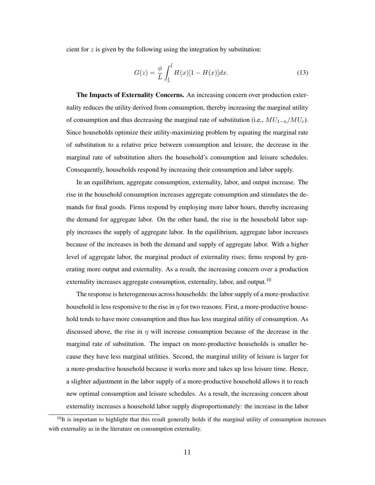cient for  $z$  is given by the following using the integration by substitution:

$$
G(z) = \frac{\phi}{L} \int_{\underline{l}}^{\overline{l}} H(x)[1 - H(x)]dx.
$$
 (13)

The Impacts of Externality Concerns. An increasing concern over production externality reduces the utility derived from consumption, thereby increasing the marginal utility of consumption and thus decreasing the marginal rate of substitution (i.e.,  $MU_{1-n}/MU_c$ ). Since households optimize their utility-maximizing problem by equating the marginal rate of substitution to a relative price between consumption and leisure, the decrease in the marginal rate of substitution alters the household's consumption and leisure schedules. Consequently, households respond by increasing their consumption and labor supply.

In an equilibrium, aggregate consumption, externality, labor, and output increase. The rise in the household consumption increases aggregate consumption and stimulates the demands for final goods. Firms respond by employing more labor hours, thereby increasing the demand for aggregate labor. On the other hand, the rise in the household labor supply increases the supply of aggregate labor. In the equilibrium, aggregate labor increases because of the increases in both the demand and supply of aggregate labor. With a higher level of aggregate labor, the marginal product of externality rises; firms respond by generating more output and externality. As a result, the increasing concern over a production externality increases aggregate consumption, externality, labor, and output.<sup>[10](#page-11-0)</sup>

The response is heterogeneous across households: the labor supply of a more-productive household is less responsive to the rise in  $\eta$  for two reasons. First, a more-productive household tends to have more consumption and thus has less marginal utility of consumption. As discussed above, the rise in  $\eta$  will increase consumption because of the decrease in the marginal rate of substitution. The impact on more-productive households is smaller because they have less marginal utilities. Second, the marginal utility of leisure is larger for a more-productive household because it works more and takes up less leisure time. Hence, a slighter adjustment in the labor supply of a more-productive household allows it to reach new optimal consumption and leisure schedules. As a result, the increasing concern about externality increases a household labor supply disproportionately: the increase in the labor

<span id="page-11-0"></span> $10$ It is important to highlight that this result generally holds if the marginal utility of consumption increases with externality as in the literature on consumption externality.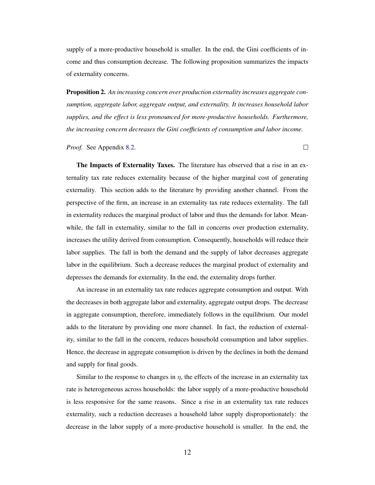supply of a more-productive household is smaller. In the end, the Gini coefficients of income and thus consumption decrease. The following proposition summarizes the impacts of externality concerns.

<span id="page-12-0"></span>Proposition 2. *An increasing concern over production externality increases aggregate consumption, aggregate labor, aggregate output, and externality. It increases household labor supplies, and the effect is less pronounced for more-productive households. Furthermore, the increasing concern decreases the Gini coefficients of consumption and labor income.*

*Proof.* See Appendix [8.2.](#page-37-1)

The Impacts of Externality Taxes. The literature has observed that a rise in an externality tax rate reduces externality because of the higher marginal cost of generating externality. This section adds to the literature by providing another channel. From the perspective of the firm, an increase in an externality tax rate reduces externality. The fall in externality reduces the marginal product of labor and thus the demands for labor. Meanwhile, the fall in externality, similar to the fall in concerns over production externality, increases the utility derived from consumption. Consequently, households will reduce their labor supplies. The fall in both the demand and the supply of labor decreases aggregate labor in the equilibrium. Such a decrease reduces the marginal product of externality and depresses the demands for externality. In the end, the externality drops further.

An increase in an externality tax rate reduces aggregate consumption and output. With the decreases in both aggregate labor and externality, aggregate output drops. The decrease in aggregate consumption, therefore, immediately follows in the equilibrium. Our model adds to the literature by providing one more channel. In fact, the reduction of externality, similar to the fall in the concern, reduces household consumption and labor supplies. Hence, the decrease in aggregate consumption is driven by the declines in both the demand and supply for final goods.

Similar to the response to changes in  $\eta$ , the effects of the increase in an externality tax rate is heterogeneous across households: the labor supply of a more-productive household is less responsive for the same reasons. Since a rise in an externality tax rate reduces externality, such a reduction decreases a household labor supply disproportionately: the decrease in the labor supply of a more-productive household is smaller. In the end, the

 $\Box$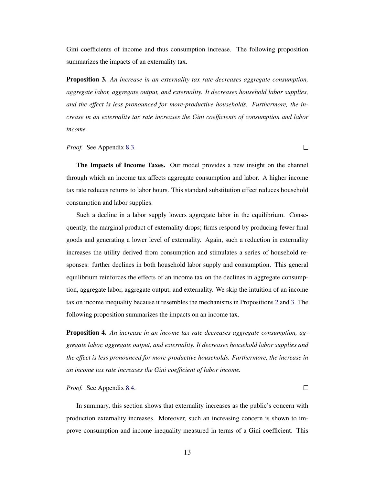Gini coefficients of income and thus consumption increase. The following proposition summarizes the impacts of an externality tax.

<span id="page-13-0"></span>Proposition 3. *An increase in an externality tax rate decreases aggregate consumption, aggregate labor, aggregate output, and externality. It decreases household labor supplies, and the effect is less pronounced for more-productive households. Furthermore, the increase in an externality tax rate increases the Gini coefficients of consumption and labor income.*

*Proof.* See Appendix [8.3.](#page-38-0)

The Impacts of Income Taxes. Our model provides a new insight on the channel through which an income tax affects aggregate consumption and labor. A higher income tax rate reduces returns to labor hours. This standard substitution effect reduces household consumption and labor supplies.

 $\Box$ 

 $\Box$ 

Such a decline in a labor supply lowers aggregate labor in the equilibrium. Consequently, the marginal product of externality drops; firms respond by producing fewer final goods and generating a lower level of externality. Again, such a reduction in externality increases the utility derived from consumption and stimulates a series of household responses: further declines in both household labor supply and consumption. This general equilibrium reinforces the effects of an income tax on the declines in aggregate consumption, aggregate labor, aggregate output, and externality. We skip the intuition of an income tax on income inequality because it resembles the mechanisms in Propositions [2](#page-12-0) and [3.](#page-13-0) The following proposition summarizes the impacts on an income tax.

<span id="page-13-1"></span>Proposition 4. *An increase in an income tax rate decreases aggregate consumption, aggregate labor, aggregate output, and externality. It decreases household labor supplies and the effect is less pronounced for more-productive households. Furthermore, the increase in an income tax rate increases the Gini coefficient of labor income.*

*Proof.* See Appendix [8.4.](#page-39-3)

In summary, this section shows that externality increases as the public's concern with production externality increases. Moreover, such an increasing concern is shown to improve consumption and income inequality measured in terms of a Gini coefficient. This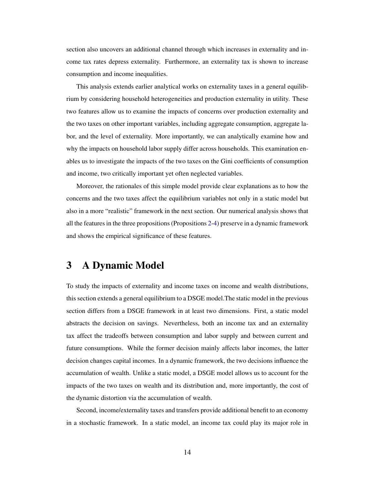section also uncovers an additional channel through which increases in externality and income tax rates depress externality. Furthermore, an externality tax is shown to increase consumption and income inequalities.

This analysis extends earlier analytical works on externality taxes in a general equilibrium by considering household heterogeneities and production externality in utility. These two features allow us to examine the impacts of concerns over production externality and the two taxes on other important variables, including aggregate consumption, aggregate labor, and the level of externality. More importantly, we can analytically examine how and why the impacts on household labor supply differ across households. This examination enables us to investigate the impacts of the two taxes on the Gini coefficients of consumption and income, two critically important yet often neglected variables.

Moreover, the rationales of this simple model provide clear explanations as to how the concerns and the two taxes affect the equilibrium variables not only in a static model but also in a more "realistic" framework in the next section. Our numerical analysis shows that all the features in the three propositions (Propositions [2](#page-12-0)[-4\)](#page-13-1) preserve in a dynamic framework and shows the empirical significance of these features.

# <span id="page-14-0"></span>3 A Dynamic Model

To study the impacts of externality and income taxes on income and wealth distributions, this section extends a general equilibrium to a DSGE model.The static model in the previous section differs from a DSGE framework in at least two dimensions. First, a static model abstracts the decision on savings. Nevertheless, both an income tax and an externality tax affect the tradeoffs between consumption and labor supply and between current and future consumptions. While the former decision mainly affects labor incomes, the latter decision changes capital incomes. In a dynamic framework, the two decisions influence the accumulation of wealth. Unlike a static model, a DSGE model allows us to account for the impacts of the two taxes on wealth and its distribution and, more importantly, the cost of the dynamic distortion via the accumulation of wealth.

Second, income/externality taxes and transfers provide additional benefit to an economy in a stochastic framework. In a static model, an income tax could play its major role in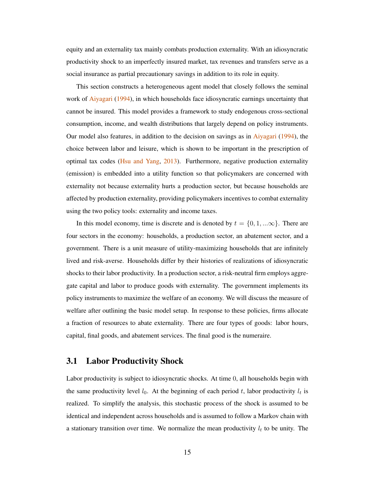equity and an externality tax mainly combats production externality. With an idiosyncratic productivity shock to an imperfectly insured market, tax revenues and transfers serve as a social insurance as partial precautionary savings in addition to its role in equity.

This section constructs a heterogeneous agent model that closely follows the seminal work of [Aiyagari](#page-39-0) [\(1994\)](#page-39-0), in which households face idiosyncratic earnings uncertainty that cannot be insured. This model provides a framework to study endogenous cross-sectional consumption, income, and wealth distributions that largely depend on policy instruments. Our model also features, in addition to the decision on savings as in [Aiyagari](#page-39-0) [\(1994\)](#page-39-0), the choice between labor and leisure, which is shown to be important in the prescription of optimal tax codes [\(Hsu and Yang,](#page-42-4) [2013\)](#page-42-4). Furthermore, negative production externality (emission) is embedded into a utility function so that policymakers are concerned with externality not because externality hurts a production sector, but because households are affected by production externality, providing policymakers incentives to combat externality using the two policy tools: externality and income taxes.

In this model economy, time is discrete and is denoted by  $t = \{0, 1, ...\infty\}$ . There are four sectors in the economy: households, a production sector, an abatement sector, and a government. There is a unit measure of utility-maximizing households that are infinitely lived and risk-averse. Households differ by their histories of realizations of idiosyncratic shocks to their labor productivity. In a production sector, a risk-neutral firm employs aggregate capital and labor to produce goods with externality. The government implements its policy instruments to maximize the welfare of an economy. We will discuss the measure of welfare after outlining the basic model setup. In response to these policies, firms allocate a fraction of resources to abate externality. There are four types of goods: labor hours, capital, final goods, and abatement services. The final good is the numeraire.

#### 3.1 Labor Productivity Shock

Labor productivity is subject to idiosyncratic shocks. At time 0, all households begin with the same productivity level  $l_0$ . At the beginning of each period t, labor productivity  $l_t$  is realized. To simplify the analysis, this stochastic process of the shock is assumed to be identical and independent across households and is assumed to follow a Markov chain with a stationary transition over time. We normalize the mean productivity  $l_t$  to be unity. The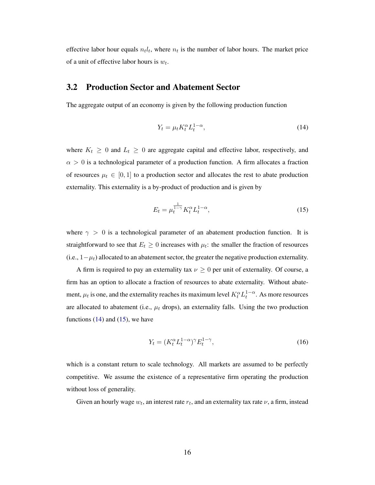effective labor hour equals  $n_t l_t$ , where  $n_t$  is the number of labor hours. The market price of a unit of effective labor hours is  $w_t$ .

#### 3.2 Production Sector and Abatement Sector

The aggregate output of an economy is given by the following production function

<span id="page-16-0"></span>
$$
Y_t = \mu_t K_t^{\alpha} L_t^{1-\alpha},\tag{14}
$$

where  $K_t \geq 0$  and  $L_t \geq 0$  are aggregate capital and effective labor, respectively, and  $\alpha > 0$  is a technological parameter of a production function. A firm allocates a fraction of resources  $\mu_t \in [0, 1]$  to a production sector and allocates the rest to abate production externality. This externality is a by-product of production and is given by

<span id="page-16-1"></span>
$$
E_t = \mu_t^{\frac{1}{1-\gamma}} K_t^{\alpha} L_t^{1-\alpha},\tag{15}
$$

where  $\gamma > 0$  is a technological parameter of an abatement production function. It is straightforward to see that  $E_t \geq 0$  increases with  $\mu_t$ : the smaller the fraction of resources (i.e.,  $1-\mu_t$ ) allocated to an abatement sector, the greater the negative production externality.

A firm is required to pay an externality tax  $\nu \geq 0$  per unit of externality. Of course, a firm has an option to allocate a fraction of resources to abate externality. Without abatement,  $\mu_t$  is one, and the externality reaches its maximum level  $K_t^{\alpha} L_t^{1-\alpha}$ . As more resources are allocated to abatement (i.e.,  $\mu_t$  drops), an externality falls. Using the two production functions  $(14)$  and  $(15)$ , we have

<span id="page-16-2"></span>
$$
Y_t = (K_t^{\alpha} L_t^{1-\alpha})^{\gamma} E_t^{1-\gamma},\tag{16}
$$

which is a constant return to scale technology. All markets are assumed to be perfectly competitive. We assume the existence of a representative firm operating the production without loss of generality.

Given an hourly wage  $w_t$ , an interest rate  $r_t$ , and an externality tax rate  $\nu$ , a firm, instead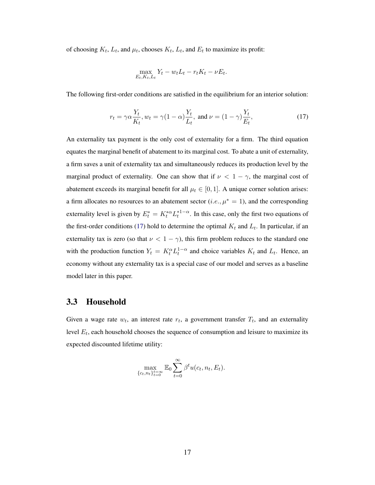of choosing  $K_t$ ,  $L_t$ , and  $\mu_t$ , chooses  $K_t$ ,  $L_t$ , and  $E_t$  to maximize its profit:

<span id="page-17-0"></span>
$$
\max_{E_t, K_t, L_t} Y_t - w_t L_t - r_t K_t - \nu E_t.
$$

The following first-order conditions are satisfied in the equilibrium for an interior solution:

$$
r_t = \gamma \alpha \frac{Y_t}{K_t}, w_t = \gamma (1 - \alpha) \frac{Y_t}{L_t}, \text{ and } \nu = (1 - \gamma) \frac{Y_t}{E_t},
$$
\n(17)

An externality tax payment is the only cost of externality for a firm. The third equation equates the marginal benefit of abatement to its marginal cost. To abate a unit of externality, a firm saves a unit of externality tax and simultaneously reduces its production level by the marginal product of externality. One can show that if  $\nu < 1 - \gamma$ , the marginal cost of abatement exceeds its marginal benefit for all  $\mu_t \in [0, 1]$ . A unique corner solution arises: a firm allocates no resources to an abatement sector (*i.e.*,  $\mu^* = 1$ ), and the corresponding externality level is given by  $E_t^* = K_t^{*\alpha} L_t^{*1-\alpha}$ . In this case, only the first two equations of the first-order conditions [\(17\)](#page-17-0) hold to determine the optimal  $K_t$  and  $L_t$ . In particular, if an externality tax is zero (so that  $\nu < 1 - \gamma$ ), this firm problem reduces to the standard one with the production function  $Y_t = K_t^{\alpha} L_t^{1-\alpha}$  and choice variables  $K_t$  and  $L_t$ . Hence, an economy without any externality tax is a special case of our model and serves as a baseline model later in this paper.

### 3.3 Household

Given a wage rate  $w_t$ , an interest rate  $r_t$ , a government transfer  $T_t$ , and an externality level  $E_t$ , each household chooses the sequence of consumption and leisure to maximize its expected discounted lifetime utility:

<span id="page-17-1"></span>
$$
\max_{\{c_t, n_t\}_{t=0}^{t=\infty}} \mathbb{E}_0 \sum_{t=0}^{\infty} \beta^t u(c_t, n_t, E_t).
$$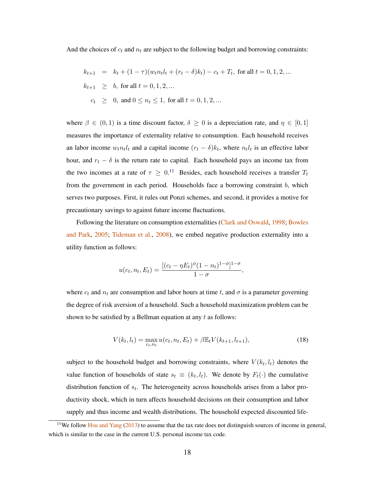And the choices of  $c_t$  and  $n_t$  are subject to the following budget and borrowing constraints:

$$
k_{t+1} = k_t + (1 - \tau)(w_t n_t l_t + (r_t - \delta) k_t) - c_t + T_t, \text{ for all } t = 0, 1, 2, ...
$$
  
\n
$$
k_{t+1} \geq b, \text{ for all } t = 0, 1, 2, ...
$$
  
\n
$$
c_t \geq 0, \text{ and } 0 \leq n_t \leq 1, \text{ for all } t = 0, 1, 2, ...
$$

where  $\beta \in (0,1)$  is a time discount factor,  $\delta \geq 0$  is a depreciation rate, and  $\eta \in [0,1]$ measures the importance of externality relative to consumption. Each household receives an labor income  $w_t n_t l_t$  and a capital income  $(r_t - \delta) k_t$ , where  $n_t l_t$  is an effective labor hour, and  $r_t - \delta$  is the return rate to capital. Each household pays an income tax from the two incomes at a rate of  $\tau \geq 0$ .<sup>[11](#page-18-0)</sup> Besides, each household receives a transfer  $T_t$ from the government in each period. Households face a borrowing constraint b, which serves two purposes. First, it rules out Ponzi schemes, and second, it provides a motive for precautionary savings to against future income fluctuations.

Following the literature on consumption externalities [\(Clark and Oswald,](#page-40-4) [1998;](#page-40-4) [Bowles](#page-40-5) [and Park,](#page-40-5) [2005;](#page-40-5) [Tideman et al.,](#page-43-7) [2008\)](#page-43-7), we embed negative production externality into a utility function as follows:

$$
u(c_t, n_t, E_t) = \frac{[(c_t - \eta E_t)^{\phi}(1 - n_t)^{1 - \phi}]^{1 - \sigma}}{1 - \sigma},
$$

where  $c_t$  and  $n_t$  are consumption and labor hours at time t, and  $\sigma$  is a parameter governing the degree of risk aversion of a household. Such a household maximization problem can be shown to be satisfied by a Bellman equation at any  $t$  as follows:

$$
V(k_t, l_t) = \max_{c_t, n_t} u(c_t, n_t, E_t) + \beta \mathbb{E}_t V(k_{t+1}, l_{t+1}),
$$
\n(18)

subject to the household budget and borrowing constraints, where  $V(k_t, l_t)$  denotes the value function of households of state  $s_t \equiv (k_t, l_t)$ . We denote by  $F_t(\cdot)$  the cumulative distribution function of  $s_t$ . The heterogeneity across households arises from a labor productivity shock, which in turn affects household decisions on their consumption and labor supply and thus income and wealth distributions. The household expected discounted life-

<span id="page-18-0"></span><sup>&</sup>lt;sup>11</sup>We follow [Hsu and Yang](#page-42-4) [\(2013\)](#page-42-4) to assume that the tax rate does not distinguish sources of income in general, which is similar to the case in the current U.S. personal income tax code.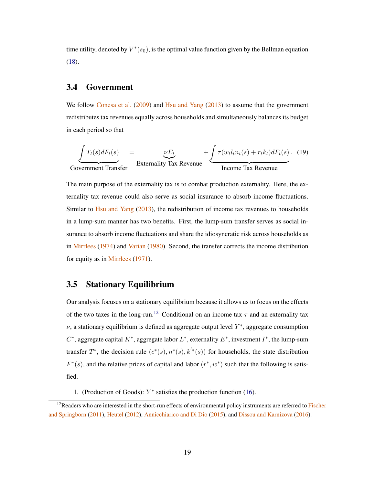time utility, denoted by  $V^*(s_0)$ , is the optimal value function given by the Bellman equation [\(18\)](#page-17-1).

#### 3.4 Government

We follow [Conesa et al.](#page-41-7) [\(2009\)](#page-41-7) and [Hsu and Yang](#page-42-4) [\(2013\)](#page-42-4) to assume that the government redistributes tax revenues equally across households and simultaneously balances its budget in each period so that

<span id="page-19-1"></span>
$$
\underbrace{\int T_t(s) dF_t(s)}_{\text{Government Transfer}} = \underbrace{\nu E_t}_{\text{Externality Tax Revenue}} + \underbrace{\int \tau(w_t l_t n_t(s) + r_t k_t) dF_t(s)}_{\text{Income Tax Revenue}}.
$$
 (19)

The main purpose of the externality tax is to combat production externality. Here, the externality tax revenue could also serve as social insurance to absorb income fluctuations. Similar to [Hsu and Yang](#page-42-4)  $(2013)$ , the redistribution of income tax revenues to households in a lump-sum manner has two benefits. First, the lump-sum transfer serves as social insurance to absorb income fluctuations and share the idiosyncratic risk across households as in [Mirrlees](#page-43-4) [\(1974\)](#page-43-4) and [Varian](#page-44-5) [\(1980\)](#page-44-5). Second, the transfer corrects the income distribution for equity as in [Mirrlees](#page-43-3) [\(1971\)](#page-43-3).

## 3.5 Stationary Equilibrium

Our analysis focuses on a stationary equilibrium because it allows us to focus on the effects of the two taxes in the long-run.<sup>[12](#page-19-0)</sup> Conditional on an income tax  $\tau$  and an externality tax  $\nu$ , a stationary equilibrium is defined as aggregate output level  $Y^*$ , aggregate consumption  $C^*$ , aggregate capital  $K^*$ , aggregate labor  $L^*$ , externality  $E^*$ , investment  $I^*$ , the lump-sum transfer  $T^*$ , the decision rule  $(c^*(s), n^*(s), k'^*(s))$  for households, the state distribution  $F^*(s)$ , and the relative prices of capital and labor  $(r^*, w^*)$  such that the following is satisfied.

1. (Production of Goods): Y ∗ satisfies the production function [\(16\)](#page-16-2).

<span id="page-19-0"></span> $12$ Readers who are interested in the short-run effects of environmental policy instruments are referred to [Fischer](#page-41-8) [and Springborn](#page-41-8) [\(2011\)](#page-41-8), [Heutel](#page-42-8) [\(2012\)](#page-42-8), [Annicchiarico and Di Dio](#page-39-4) [\(2015\)](#page-39-4), and [Dissou and Karnizova](#page-41-9) [\(2016\)](#page-41-9).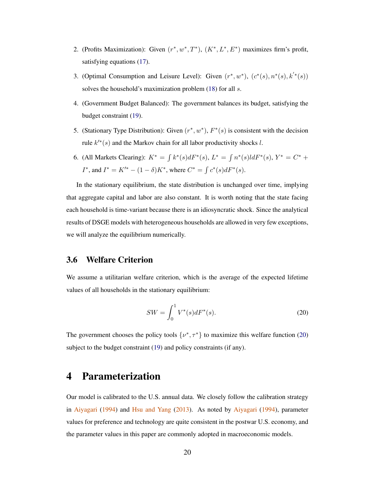- 2. (Profits Maximization): Given  $(r^*, w^*, T^*)$ ,  $(K^*, L^*, E^*)$  maximizes firm's profit, satisfying equations [\(17\)](#page-17-0).
- 3. (Optimal Consumption and Leisure Level): Given  $(r^*, w^*)$ ,  $(c^*(s), n^*(s), k'^*(s))$ solves the household's maximization problem [\(18\)](#page-17-1) for all s.
- 4. (Government Budget Balanced): The government balances its budget, satisfying the budget constraint [\(19\)](#page-19-1).
- 5. (Stationary Type Distribution): Given  $(r^*, w^*)$ ,  $F^*(s)$  is consistent with the decision rule  $k'^*(s)$  and the Markov chain for all labor productivity shocks l.
- 6. (All Markets Clearing):  $K^* = \int k^*(s) dF^*(s)$ ,  $L^* = \int n^*(s) dF^*(s)$ ,  $Y^* = C^* +$ *I*<sup>\*</sup>, and *I*<sup>\*</sup> =  $K'^{*} - (1 - \delta)K^*$ , where  $C^* = \int c^*(s) dF^*(s)$ .

In the stationary equilibrium, the state distribution is unchanged over time, implying that aggregate capital and labor are also constant. It is worth noting that the state facing each household is time-variant because there is an idiosyncratic shock. Since the analytical results of DSGE models with heterogeneous households are allowed in very few exceptions, we will analyze the equilibrium numerically.

## 3.6 Welfare Criterion

We assume a utilitarian welfare criterion, which is the average of the expected lifetime values of all households in the stationary equilibrium:

<span id="page-20-1"></span>
$$
SW = \int_0^1 V^*(s) dF^*(s).
$$
 (20)

The government chooses the policy tools  $\{v^*, \tau^*\}$  to maximize this welfare function [\(20\)](#page-20-1) subject to the budget constraint [\(19\)](#page-19-1) and policy constraints (if any).

## <span id="page-20-0"></span>4 Parameterization

Our model is calibrated to the U.S. annual data. We closely follow the calibration strategy in [Aiyagari](#page-39-0) [\(1994\)](#page-39-0) and [Hsu and Yang](#page-42-4) [\(2013\)](#page-42-4). As noted by [Aiyagari](#page-39-0) [\(1994\)](#page-39-0), parameter values for preference and technology are quite consistent in the postwar U.S. economy, and the parameter values in this paper are commonly adopted in macroeconomic models.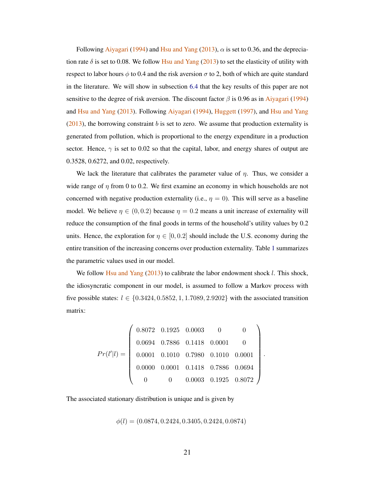Following [Aiyagari](#page-39-0) [\(1994\)](#page-39-0) and [Hsu and Yang](#page-42-4) [\(2013\)](#page-42-4),  $\alpha$  is set to 0.36, and the depreciation rate  $\delta$  is set to 0.08. We follow [Hsu and Yang](#page-42-4) [\(2013\)](#page-42-4) to set the elasticity of utility with respect to labor hours  $\phi$  to 0.4 and the risk aversion  $\sigma$  to 2, both of which are quite standard in the literature. We will show in subsection [6.4](#page-33-0) that the key results of this paper are not sensitive to the degree of risk aversion. The discount factor  $\beta$  is 0.96 as in [Aiyagari](#page-39-0) [\(1994\)](#page-39-0) and [Hsu and Yang](#page-42-4) [\(2013\)](#page-42-4). Following [Aiyagari](#page-39-0) [\(1994\)](#page-39-0), [Huggett](#page-42-9) [\(1997\)](#page-42-9), and [Hsu and Yang](#page-42-4)  $(2013)$ , the borrowing constraint b is set to zero. We assume that production externality is generated from pollution, which is proportional to the energy expenditure in a production sector. Hence,  $\gamma$  is set to 0.02 so that the capital, labor, and energy shares of output are 0.3528, 0.6272, and 0.02, respectively.

We lack the literature that calibrates the parameter value of  $\eta$ . Thus, we consider a wide range of  $\eta$  from 0 to 0.2. We first examine an economy in which households are not concerned with negative production externality (i.e.,  $\eta = 0$ ). This will serve as a baseline model. We believe  $\eta \in (0, 0.2)$  because  $\eta = 0.2$  means a unit increase of externality will reduce the consumption of the final goods in terms of the household's utility values by 0.2 units. Hence, the exploration for  $\eta \in [0, 0.2]$  should include the U.S. economy during the entire transition of the increasing concerns over production externality. Table [1](#page-22-1) summarizes the parametric values used in our model.

We follow [Hsu and Yang](#page-42-4) [\(2013\)](#page-42-4) to calibrate the labor endowment shock l. This shock, the idiosyncratic component in our model, is assumed to follow a Markov process with five possible states:  $l \in \{0.3424, 0.5852, 1, 1.7089, 2.9202\}$  with the associated transition matrix:

$$
Pr(l'|l) = \left(\begin{array}{cccc} 0.8072 & 0.1925 & 0.0003 & 0 & 0 \\ 0.0694 & 0.7886 & 0.1418 & 0.0001 & 0 \\ 0.0001 & 0.1010 & 0.7980 & 0.1010 & 0.0001 \\ 0.0000 & 0.0001 & 0.1418 & 0.7886 & 0.0694 \\ 0 & 0 & 0.0003 & 0.1925 & 0.8072 \end{array}\right).
$$

The associated stationary distribution is unique and is given by

 $\phi(l) = (0.0874, 0.2424, 0.3405, 0.2424, 0.0874)$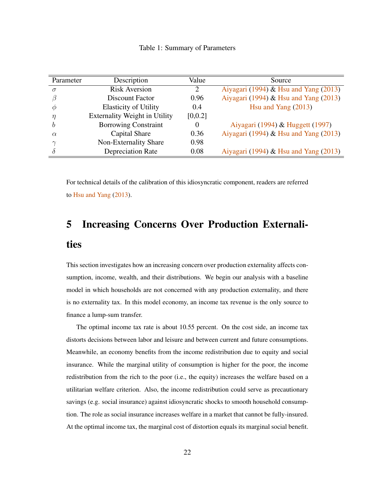Table 1: Summary of Parameters

<span id="page-22-1"></span>

| Parameter | Description                          | Value    | Source                                |
|-----------|--------------------------------------|----------|---------------------------------------|
| $\sigma$  | <b>Risk Aversion</b>                 | 2        | Aiyagari (1994) & Hsu and Yang (2013) |
|           | Discount Factor                      | 0.96     | Aiyagari (1994) & Hsu and Yang (2013) |
| Ф         | <b>Elasticity of Utility</b>         | 0.4      | Hsu and Yang $(2013)$                 |
| η         | <b>Externality Weight in Utility</b> | [0, 0.2] |                                       |
| h         | <b>Borrowing Constraint</b>          | 0        | Aiyagari (1994) & Huggett (1997)      |
| $\alpha$  | Capital Share                        | 0.36     | Aiyagari (1994) & Hsu and Yang (2013) |
| $\sim$    | Non-Externality Share                | 0.98     |                                       |
|           | <b>Depreciation Rate</b>             | 0.08     | Aiyagari (1994) & Hsu and Yang (2013) |

For technical details of the calibration of this idiosyncratic component, readers are referred to [Hsu and Yang](#page-42-4) [\(2013\)](#page-42-4).

# <span id="page-22-0"></span>5 Increasing Concerns Over Production Externalities

This section investigates how an increasing concern over production externality affects consumption, income, wealth, and their distributions. We begin our analysis with a baseline model in which households are not concerned with any production externality, and there is no externality tax. In this model economy, an income tax revenue is the only source to finance a lump-sum transfer.

The optimal income tax rate is about 10.55 percent. On the cost side, an income tax distorts decisions between labor and leisure and between current and future consumptions. Meanwhile, an economy benefits from the income redistribution due to equity and social insurance. While the marginal utility of consumption is higher for the poor, the income redistribution from the rich to the poor (i.e., the equity) increases the welfare based on a utilitarian welfare criterion. Also, the income redistribution could serve as precautionary savings (e.g. social insurance) against idiosyncratic shocks to smooth household consumption. The role as social insurance increases welfare in a market that cannot be fully-insured. At the optimal income tax, the marginal cost of distortion equals its marginal social benefit.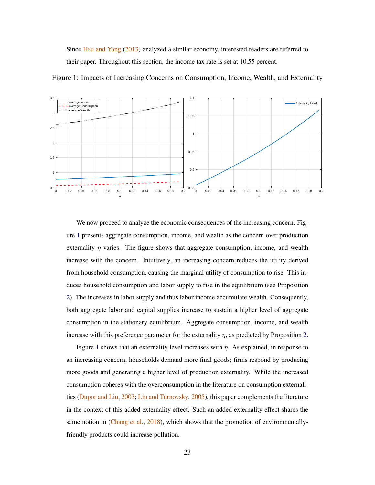Since [Hsu and Yang](#page-42-4) [\(2013\)](#page-42-4) analyzed a similar economy, interested readers are referred to their paper. Throughout this section, the income tax rate is set at 10.55 percent.



<span id="page-23-0"></span>Figure 1: Impacts of Increasing Concerns on Consumption, Income, Wealth, and Externality

We now proceed to analyze the economic consequences of the increasing concern. Figure [1](#page-23-0) presents aggregate consumption, income, and wealth as the concern over production externality  $\eta$  varies. The figure shows that aggregate consumption, income, and wealth increase with the concern. Intuitively, an increasing concern reduces the utility derived from household consumption, causing the marginal utility of consumption to rise. This induces household consumption and labor supply to rise in the equilibrium (see Proposition [2\)](#page-12-0). The increases in labor supply and thus labor income accumulate wealth. Consequently, both aggregate labor and capital supplies increase to sustain a higher level of aggregate consumption in the stationary equilibrium. Aggregate consumption, income, and wealth increase with this preference parameter for the externality  $\eta$ , as predicted by Proposition [2.](#page-12-0)

Figure [1](#page-23-0) shows that an externality level increases with  $\eta$ . As explained, in response to an increasing concern, households demand more final goods; firms respond by producing more goods and generating a higher level of production externality. While the increased consumption coheres with the overconsumption in the literature on consumption externalities [\(Dupor and Liu,](#page-41-0) [2003;](#page-41-0) [Liu and Turnovsky,](#page-43-9) [2005\)](#page-43-9), this paper complements the literature in the context of this added externality effect. Such an added externality effect shares the same notion in [\(Chang et al.,](#page-40-8) [2018\)](#page-40-8), which shows that the promotion of environmentallyfriendly products could increase pollution.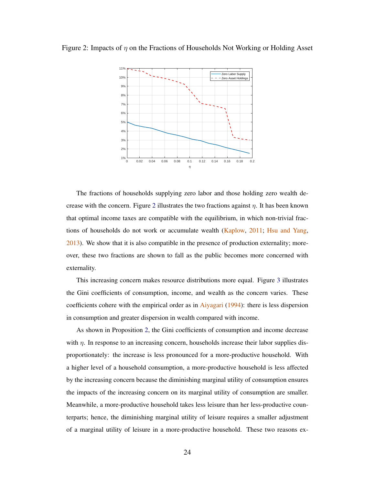<span id="page-24-0"></span>Figure 2: Impacts of  $\eta$  on the Fractions of Households Not Working or Holding Asset



The fractions of households supplying zero labor and those holding zero wealth de-crease with the concern. Figure [2](#page-24-0) illustrates the two fractions against  $\eta$ . It has been known that optimal income taxes are compatible with the equilibrium, in which non-trivial fractions of households do not work or accumulate wealth [\(Kaplow,](#page-42-10) [2011;](#page-42-10) [Hsu and Yang,](#page-42-4) [2013\)](#page-42-4). We show that it is also compatible in the presence of production externality; moreover, these two fractions are shown to fall as the public becomes more concerned with externality.

This increasing concern makes resource distributions more equal. Figure [3](#page-25-1) illustrates the Gini coefficients of consumption, income, and wealth as the concern varies. These coefficients cohere with the empirical order as in [Aiyagari](#page-39-0) [\(1994\)](#page-39-0): there is less dispersion in consumption and greater dispersion in wealth compared with income.

As shown in Proposition [2,](#page-12-0) the Gini coefficients of consumption and income decrease with  $\eta$ . In response to an increasing concern, households increase their labor supplies disproportionately: the increase is less pronounced for a more-productive household. With a higher level of a household consumption, a more-productive household is less affected by the increasing concern because the diminishing marginal utility of consumption ensures the impacts of the increasing concern on its marginal utility of consumption are smaller. Meanwhile, a more-productive household takes less leisure than her less-productive counterparts; hence, the diminishing marginal utility of leisure requires a smaller adjustment of a marginal utility of leisure in a more-productive household. These two reasons ex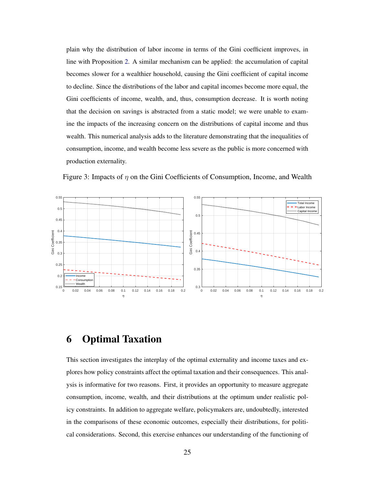plain why the distribution of labor income in terms of the Gini coefficient improves, in line with Proposition [2.](#page-12-0) A similar mechanism can be applied: the accumulation of capital becomes slower for a wealthier household, causing the Gini coefficient of capital income to decline. Since the distributions of the labor and capital incomes become more equal, the Gini coefficients of income, wealth, and, thus, consumption decrease. It is worth noting that the decision on savings is abstracted from a static model; we were unable to examine the impacts of the increasing concern on the distributions of capital income and thus wealth. This numerical analysis adds to the literature demonstrating that the inequalities of consumption, income, and wealth become less severe as the public is more concerned with production externality.



<span id="page-25-1"></span>Figure 3: Impacts of  $\eta$  on the Gini Coefficients of Consumption, Income, and Wealth

## <span id="page-25-0"></span>6 Optimal Taxation

This section investigates the interplay of the optimal externality and income taxes and explores how policy constraints affect the optimal taxation and their consequences. This analysis is informative for two reasons. First, it provides an opportunity to measure aggregate consumption, income, wealth, and their distributions at the optimum under realistic policy constraints. In addition to aggregate welfare, policymakers are, undoubtedly, interested in the comparisons of these economic outcomes, especially their distributions, for political considerations. Second, this exercise enhances our understanding of the functioning of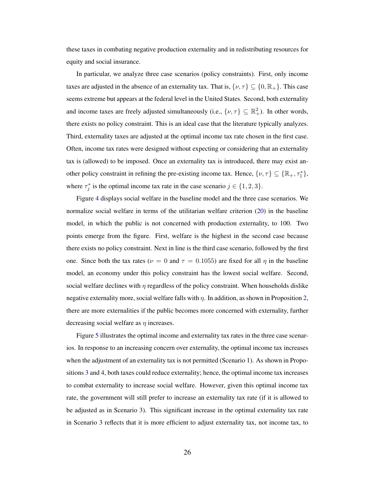these taxes in combating negative production externality and in redistributing resources for equity and social insurance.

In particular, we analyze three case scenarios (policy constraints). First, only income taxes are adjusted in the absence of an externality tax. That is,  $\{\nu, \tau\} \subseteq \{0, \mathbb{R}_+\}$ . This case seems extreme but appears at the federal level in the United States. Second, both externality and income taxes are freely adjusted simultaneously (i.e.,  $\{\nu, \tau\} \subseteq \mathbb{R}^2_+$ ). In other words, there exists no policy constraint. This is an ideal case that the literature typically analyzes. Third, externality taxes are adjusted at the optimal income tax rate chosen in the first case. Often, income tax rates were designed without expecting or considering that an externality tax is (allowed) to be imposed. Once an externality tax is introduced, there may exist another policy constraint in refining the pre-existing income tax. Hence,  $\{\nu, \tau\} \subseteq {\mathbb{R}_+}, \tau_1^*$ , where  $\tau_j^*$  is the optimal income tax rate in the case scenario  $j \in \{1, 2, 3\}$ .

Figure [4](#page-27-0) displays social welfare in the baseline model and the three case scenarios. We normalize social welfare in terms of the utilitarian welfare criterion [\(20\)](#page-20-1) in the baseline model, in which the public is not concerned with production externality, to 100. Two points emerge from the figure. First, welfare is the highest in the second case because there exists no policy constraint. Next in line is the third case scenario, followed by the first one. Since both the tax rates ( $\nu = 0$  and  $\tau = 0.1055$ ) are fixed for all  $\eta$  in the baseline model, an economy under this policy constraint has the lowest social welfare. Second, social welfare declines with  $\eta$  regardless of the policy constraint. When households dislike negative externality more, social welfare falls with  $\eta$ . In addition, as shown in Proposition [2,](#page-12-0) there are more externalities if the public becomes more concerned with externality, further decreasing social welfare as  $\eta$  increases.

Figure [5](#page-28-0) illustrates the optimal income and externality tax rates in the three case scenarios. In response to an increasing concern over externality, the optimal income tax increases when the adjustment of an externality tax is not permitted (Scenario 1). As shown in Propositions [3](#page-13-0) and [4,](#page-13-1) both taxes could reduce externality; hence, the optimal income tax increases to combat externality to increase social welfare. However, given this optimal income tax rate, the government will still prefer to increase an externality tax rate (if it is allowed to be adjusted as in Scenario 3). This significant increase in the optimal externality tax rate in Scenario 3 reflects that it is more efficient to adjust externality tax, not income tax, to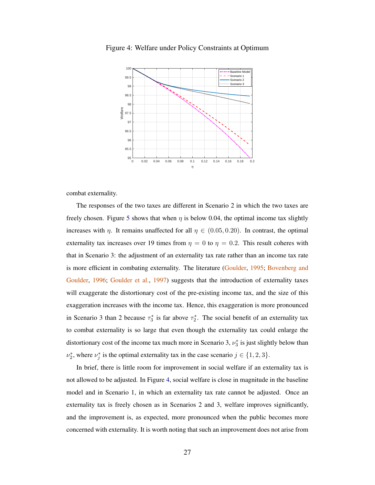

<span id="page-27-0"></span>Figure 4: Welfare under Policy Constraints at Optimum

combat externality.

The responses of the two taxes are different in Scenario 2 in which the two taxes are freely chosen. Figure [5](#page-28-0) shows that when  $\eta$  is below 0.04, the optimal income tax slightly increases with  $\eta$ . It remains unaffected for all  $\eta \in (0.05, 0.20)$ . In contrast, the optimal externality tax increases over 19 times from  $\eta = 0$  to  $\eta = 0.2$ . This result coheres with that in Scenario 3: the adjustment of an externality tax rate rather than an income tax rate is more efficient in combating externality. The literature [\(Goulder,](#page-42-1) [1995;](#page-42-1) [Bovenberg and](#page-40-1) [Goulder,](#page-40-1) [1996;](#page-40-1) [Goulder et al.,](#page-42-2) [1997\)](#page-42-2) suggests that the introduction of externality taxes will exaggerate the distortionary cost of the pre-existing income tax, and the size of this exaggeration increases with the income tax. Hence, this exaggeration is more pronounced in Scenario 3 than 2 because  $\tau_3^*$  is far above  $\tau_2^*$ . The social benefit of an externality tax to combat externality is so large that even though the externality tax could enlarge the distortionary cost of the income tax much more in Scenario 3,  $\nu_3^*$  is just slightly below than  $\nu_2^*$ , where  $\nu_j^*$  is the optimal externality tax in the case scenario  $j \in \{1, 2, 3\}$ .

In brief, there is little room for improvement in social welfare if an externality tax is not allowed to be adjusted. In Figure [4,](#page-27-0) social welfare is close in magnitude in the baseline model and in Scenario 1, in which an externality tax rate cannot be adjusted. Once an externality tax is freely chosen as in Scenarios 2 and 3, welfare improves significantly, and the improvement is, as expected, more pronounced when the public becomes more concerned with externality. It is worth noting that such an improvement does not arise from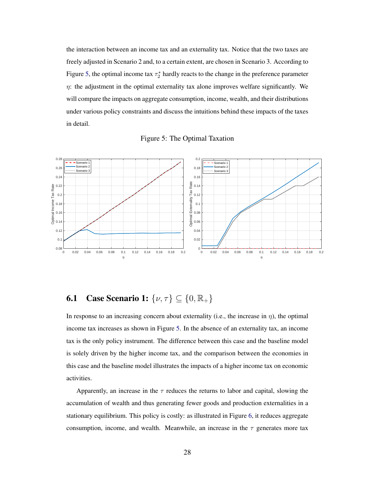the interaction between an income tax and an externality tax. Notice that the two taxes are freely adjusted in Scenario 2 and, to a certain extent, are chosen in Scenario 3. According to Figure [5,](#page-28-0) the optimal income tax  $\tau_2^*$  hardly reacts to the change in the preference parameter  $\eta$ : the adjustment in the optimal externality tax alone improves welfare significantly. We will compare the impacts on aggregate consumption, income, wealth, and their distributions under various policy constraints and discuss the intuitions behind these impacts of the taxes in detail.



<span id="page-28-0"></span>

# **6.1** Case Scenario 1:  $\{\nu, \tau\} \subseteq \{0, \mathbb{R}_+\}$

In response to an increasing concern about externality (i.e., the increase in  $\eta$ ), the optimal income tax increases as shown in Figure [5.](#page-28-0) In the absence of an externality tax, an income tax is the only policy instrument. The difference between this case and the baseline model is solely driven by the higher income tax, and the comparison between the economies in this case and the baseline model illustrates the impacts of a higher income tax on economic activities.

Apparently, an increase in the  $\tau$  reduces the returns to labor and capital, slowing the accumulation of wealth and thus generating fewer goods and production externalities in a stationary equilibrium. This policy is costly: as illustrated in Figure [6,](#page-29-0) it reduces aggregate consumption, income, and wealth. Meanwhile, an increase in the  $\tau$  generates more tax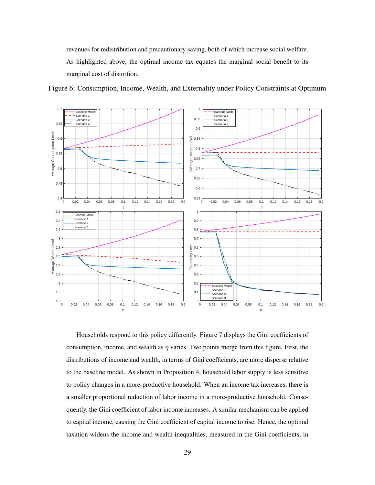revenues for redistribution and precautionary saving, both of which increase social welfare. As highlighted above, the optimal income tax equates the marginal social benefit to its marginal cost of distortion.

<span id="page-29-0"></span>Figure 6: Consumption, Income, Wealth, and Externality under Policy Constraints at Optimum



Households respond to this policy differently. Figure [7](#page-30-0) displays the Gini coefficients of consumption, income, and wealth as  $\eta$  varies. Two points merge from this figure. First, the distributions of income and wealth, in terms of Gini coefficients, are more disperse relative to the baseline model. As shown in Proposition [4,](#page-13-1) household labor supply is less sensitive to policy changes in a more-productive household. When an income tax increases, there is a smaller proportional reduction of labor income in a more-productive household. Consequently, the Gini coefficient of labor income increases. A similar mechanism can be applied to capital income, causing the Gini coefficient of capital income to rise. Hence, the optimal taxation widens the income and wealth inequalities, measured in the Gini coefficients, in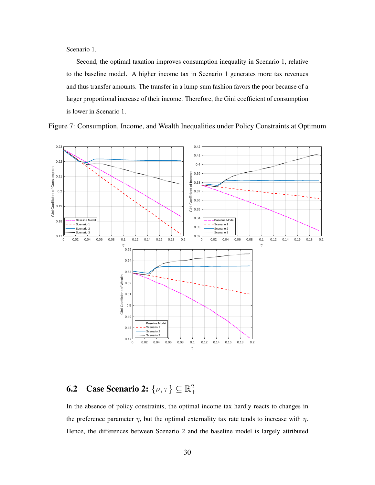Scenario 1.

Second, the optimal taxation improves consumption inequality in Scenario 1, relative to the baseline model. A higher income tax in Scenario 1 generates more tax revenues and thus transfer amounts. The transfer in a lump-sum fashion favors the poor because of a larger proportional increase of their income. Therefore, the Gini coefficient of consumption is lower in Scenario 1.



<span id="page-30-0"></span>Figure 7: Consumption, Income, and Wealth Inequalities under Policy Constraints at Optimum

#### **6.2** Case Scenario 2:  $\{\nu, \tau\} \subseteq \mathbb{R}^2_+$  $^{+}$

In the absence of policy constraints, the optimal income tax hardly reacts to changes in the preference parameter  $\eta$ , but the optimal externality tax rate tends to increase with  $\eta$ . Hence, the differences between Scenario 2 and the baseline model is largely attributed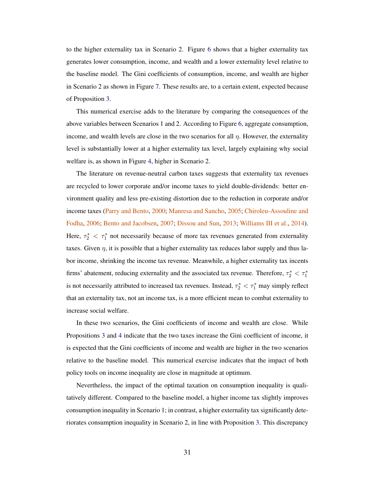to the higher externality tax in Scenario 2. Figure [6](#page-29-0) shows that a higher externality tax generates lower consumption, income, and wealth and a lower externality level relative to the baseline model. The Gini coefficients of consumption, income, and wealth are higher in Scenario 2 as shown in Figure [7.](#page-30-0) These results are, to a certain extent, expected because of Proposition [3.](#page-13-0)

This numerical exercise adds to the literature by comparing the consequences of the above variables between Scenarios 1 and 2. According to Figure [6,](#page-29-0) aggregate consumption, income, and wealth levels are close in the two scenarios for all  $\eta$ . However, the externality level is substantially lower at a higher externality tax level, largely explaining why social welfare is, as shown in Figure [4,](#page-27-0) higher in Scenario 2.

The literature on revenue-neutral carbon taxes suggests that externality tax revenues are recycled to lower corporate and/or income taxes to yield double-dividends: better environment quality and less pre-existing distortion due to the reduction in corporate and/or income taxes [\(Parry and Bento,](#page-43-2) [2000;](#page-43-2) [Manresa and Sancho,](#page-43-10) [2005;](#page-43-10) [Chiroleu-Assouline and](#page-40-9) [Fodha,](#page-40-9) [2006;](#page-40-9) [Bento and Jacobsen,](#page-40-3) [2007;](#page-40-3) [Dissou and Sun,](#page-41-10) [2013;](#page-41-10) [Williams III et al.,](#page-44-6) [2014\)](#page-44-6). Here,  $\tau_2^* < \tau_1^*$  not necessarily because of more tax revenues generated from externality taxes. Given  $\eta$ , it is possible that a higher externality tax reduces labor supply and thus labor income, shrinking the income tax revenue. Meanwhile, a higher externality tax incents firms' abatement, reducing externality and the associated tax revenue. Therefore,  $\tau_2^* < \tau_1^*$ is not necessarily attributed to increased tax revenues. Instead,  $\tau_2^* < \tau_1^*$  may simply reflect that an externality tax, not an income tax, is a more efficient mean to combat externality to increase social welfare.

In these two scenarios, the Gini coefficients of income and wealth are close. While Propositions [3](#page-13-0) and [4](#page-13-1) indicate that the two taxes increase the Gini coefficient of income, it is expected that the Gini coefficients of income and wealth are higher in the two scenarios relative to the baseline model. This numerical exercise indicates that the impact of both policy tools on income inequality are close in magnitude at optimum.

Nevertheless, the impact of the optimal taxation on consumption inequality is qualitatively different. Compared to the baseline model, a higher income tax slightly improves consumption inequality in Scenario 1; in contrast, a higher externality tax significantly deteriorates consumption inequality in Scenario 2, in line with Proposition [3.](#page-13-0) This discrepancy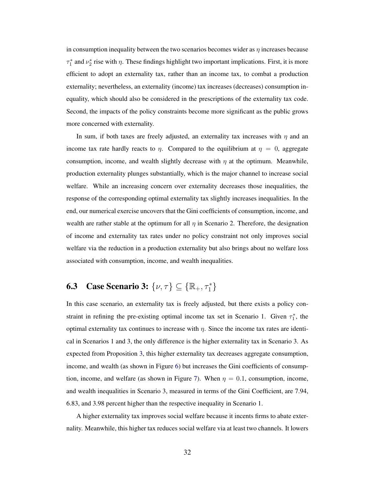in consumption inequality between the two scenarios becomes wider as  $\eta$  increases because  $\tau_1^*$  and  $\nu_2^*$  rise with  $\eta$ . These findings highlight two important implications. First, it is more efficient to adopt an externality tax, rather than an income tax, to combat a production externality; nevertheless, an externality (income) tax increases (decreases) consumption inequality, which should also be considered in the prescriptions of the externality tax code. Second, the impacts of the policy constraints become more significant as the public grows more concerned with externality.

In sum, if both taxes are freely adjusted, an externality tax increases with  $\eta$  and an income tax rate hardly reacts to  $\eta$ . Compared to the equilibrium at  $\eta = 0$ , aggregate consumption, income, and wealth slightly decrease with  $\eta$  at the optimum. Meanwhile, production externality plunges substantially, which is the major channel to increase social welfare. While an increasing concern over externality decreases those inequalities, the response of the corresponding optimal externality tax slightly increases inequalities. In the end, our numerical exercise uncovers that the Gini coefficients of consumption, income, and wealth are rather stable at the optimum for all  $\eta$  in Scenario 2. Therefore, the designation of income and externality tax rates under no policy constraint not only improves social welfare via the reduction in a production externality but also brings about no welfare loss associated with consumption, income, and wealth inequalities.

# **6.3** Case Scenario 3:  $\{\nu, \tau\} \subseteq {\mathbb{R}_+}, \tau_1^*$

In this case scenario, an externality tax is freely adjusted, but there exists a policy constraint in refining the pre-existing optimal income tax set in Scenario 1. Given  $\tau_1^*$ , the optimal externality tax continues to increase with  $\eta$ . Since the income tax rates are identical in Scenarios 1 and 3, the only difference is the higher externality tax in Scenario 3. As expected from Proposition [3,](#page-13-0) this higher externality tax decreases aggregate consumption, income, and wealth (as shown in Figure [6\)](#page-29-0) but increases the Gini coefficients of consump-tion, income, and welfare (as shown in Figure [7\)](#page-30-0). When  $\eta = 0.1$ , consumption, income, and wealth inequalities in Scenario 3, measured in terms of the Gini Coefficient, are 7.94, 6.83, and 3.98 percent higher than the respective inequality in Scenario 1.

A higher externality tax improves social welfare because it incents firms to abate externality. Meanwhile, this higher tax reduces social welfare via at least two channels. It lowers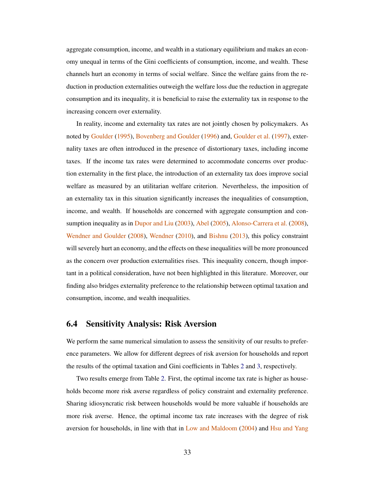aggregate consumption, income, and wealth in a stationary equilibrium and makes an economy unequal in terms of the Gini coefficients of consumption, income, and wealth. These channels hurt an economy in terms of social welfare. Since the welfare gains from the reduction in production externalities outweigh the welfare loss due the reduction in aggregate consumption and its inequality, it is beneficial to raise the externality tax in response to the increasing concern over externality.

In reality, income and externality tax rates are not jointly chosen by policymakers. As noted by [Goulder](#page-42-1) [\(1995\)](#page-42-1), [Bovenberg and Goulder](#page-40-1) [\(1996\)](#page-40-1) and, [Goulder et al.](#page-42-2) [\(1997\)](#page-42-2), externality taxes are often introduced in the presence of distortionary taxes, including income taxes. If the income tax rates were determined to accommodate concerns over production externality in the first place, the introduction of an externality tax does improve social welfare as measured by an utilitarian welfare criterion. Nevertheless, the imposition of an externality tax in this situation significantly increases the inequalities of consumption, income, and wealth. If households are concerned with aggregate consumption and consumption inequality as in [Dupor and Liu](#page-41-0) [\(2003\)](#page-41-0), [Abel](#page-39-1) [\(2005\)](#page-39-1), [Alonso-Carrera et al.](#page-39-2) [\(2008\)](#page-39-2), [Wendner and Goulder](#page-44-1) [\(2008\)](#page-44-1), [Wendner](#page-44-3) [\(2010\)](#page-44-3), and [Bishnu](#page-40-6) [\(2013\)](#page-40-6), this policy constraint will severely hurt an economy, and the effects on these inequalities will be more pronounced as the concern over production externalities rises. This inequality concern, though important in a political consideration, have not been highlighted in this literature. Moreover, our finding also bridges externality preference to the relationship between optimal taxation and consumption, income, and wealth inequalities.

### <span id="page-33-0"></span>6.4 Sensitivity Analysis: Risk Aversion

We perform the same numerical simulation to assess the sensitivity of our results to preference parameters. We allow for different degrees of risk aversion for households and report the results of the optimal taxation and Gini coefficients in Tables [2](#page-34-0) and [3,](#page-35-0) respectively.

Two results emerge from Table [2.](#page-34-0) First, the optimal income tax rate is higher as households become more risk averse regardless of policy constraint and externality preference. Sharing idiosyncratic risk between households would be more valuable if households are more risk averse. Hence, the optimal income tax rate increases with the degree of risk aversion for households, in line with that in [Low and Maldoom](#page-43-6) [\(2004\)](#page-43-6) and [Hsu and Yang](#page-42-4)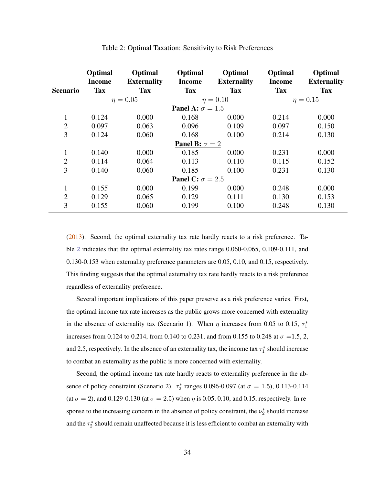<span id="page-34-0"></span>

|                                | Optimal                     | Optimal                          | Optimal                        | Optimal                          | Optimal                     | Optimal                          |  |  |  |
|--------------------------------|-----------------------------|----------------------------------|--------------------------------|----------------------------------|-----------------------------|----------------------------------|--|--|--|
| <b>Scenario</b>                | <b>Income</b><br><b>Tax</b> | <b>Externality</b><br><b>Tax</b> | <b>Income</b><br><b>Tax</b>    | <b>Externality</b><br><b>Tax</b> | <b>Income</b><br><b>Tax</b> | <b>Externality</b><br><b>Tax</b> |  |  |  |
|                                |                             | $\eta = 0.05$                    |                                | $\eta = 0.10$                    |                             | $\eta = 0.15$                    |  |  |  |
|                                |                             |                                  | <b>Panel A:</b> $\sigma = 1.5$ |                                  |                             |                                  |  |  |  |
| $\mathbf{1}$                   | 0.124                       | 0.000                            | 0.168                          | 0.000                            | 0.214                       | 0.000                            |  |  |  |
| $\overline{2}$                 | 0.097                       | 0.063                            | 0.096                          | 0.109                            | 0.097                       | 0.150                            |  |  |  |
| 3                              | 0.124                       | 0.060                            | 0.168                          | 0.100                            | 0.214                       | 0.130                            |  |  |  |
|                                |                             |                                  | <b>Panel B:</b> $\sigma = 2$   |                                  |                             |                                  |  |  |  |
| 1                              | 0.140                       | 0.000                            | 0.185                          | 0.000                            | 0.231                       | 0.000                            |  |  |  |
| $\overline{2}$                 | 0.114                       | 0.064                            | 0.113                          | 0.110                            | 0.115                       | 0.152                            |  |  |  |
| 3                              | 0.140                       | 0.060                            | 0.185                          | 0.100                            | 0.231                       | 0.130                            |  |  |  |
| <b>Panel C:</b> $\sigma = 2.5$ |                             |                                  |                                |                                  |                             |                                  |  |  |  |
| 1                              | 0.155                       | 0.000                            | 0.199                          | 0.000                            | 0.248                       | 0.000                            |  |  |  |
| $\overline{2}$                 | 0.129                       | 0.065                            | 0.129                          | 0.111                            | 0.130                       | 0.153                            |  |  |  |
| 3                              | 0.155                       | 0.060                            | 0.199                          | 0.100                            | 0.248                       | 0.130                            |  |  |  |

#### Table 2: Optimal Taxation: Sensitivity to Risk Preferences

[\(2013\)](#page-42-4). Second, the optimal externality tax rate hardly reacts to a risk preference. Table [2](#page-34-0) indicates that the optimal externality tax rates range 0.060-0.065, 0.109-0.111, and 0.130-0.153 when externality preference parameters are 0.05, 0.10, and 0.15, respectively. This finding suggests that the optimal externality tax rate hardly reacts to a risk preference regardless of externality preference.

Several important implications of this paper preserve as a risk preference varies. First, the optimal income tax rate increases as the public grows more concerned with externality in the absence of externality tax (Scenario 1). When  $\eta$  increases from 0.05 to 0.15,  $\tau_1^*$ increases from 0.124 to 0.214, from 0.140 to 0.231, and from 0.155 to 0.248 at  $\sigma = 1.5, 2$ , and 2.5, respectively. In the absence of an externality tax, the income tax  $\tau_1^*$  should increase to combat an externality as the public is more concerned with externality.

Second, the optimal income tax rate hardly reacts to externality preference in the absence of policy constraint (Scenario 2).  $\tau_2^*$  ranges 0.096-0.097 (at  $\sigma = 1.5$ ), 0.113-0.114 (at  $\sigma = 2$ ), and 0.129-0.130 (at  $\sigma = 2.5$ ) when  $\eta$  is 0.05, 0.10, and 0.15, respectively. In response to the increasing concern in the absence of policy constraint, the  $\nu_2^*$  should increase and the  $\tau_2^*$  should remain unaffected because it is less efficient to combat an externality with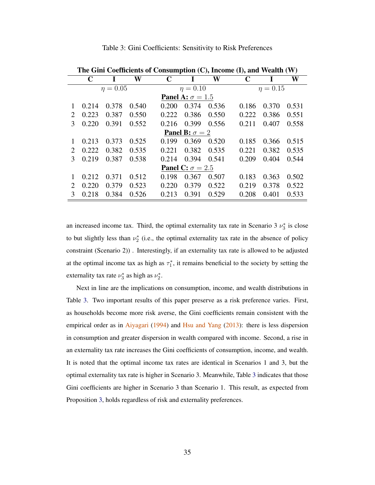<span id="page-35-0"></span>

|                             | THE OTHER COEFFICIENTS OF CONSUMPTION $(C)$ , HICOHIC $(I)$ , and Wealth $(V)$ |       |       |             |                              |       |             |               |       |  |  |
|-----------------------------|--------------------------------------------------------------------------------|-------|-------|-------------|------------------------------|-------|-------------|---------------|-------|--|--|
|                             | C                                                                              | I     | W     | $\mathbf C$ | I                            | W     | $\mathbf C$ | I             | W     |  |  |
|                             | $\eta = 0.05$                                                                  |       |       |             | $\eta = 0.10$                |       |             | $\eta = 0.15$ |       |  |  |
|                             | <b>Panel A:</b> $\sigma = 1.5$                                                 |       |       |             |                              |       |             |               |       |  |  |
| 1                           | 0.214                                                                          | 0.378 | 0.540 | 0.200       | 0.374                        | 0.536 | 0.186       | 0.370         | 0.531 |  |  |
| 2                           | 0.223                                                                          | 0.387 | 0.550 | 0.222       | 0.386                        | 0.550 | 0.222       | 0.386         | 0.551 |  |  |
| 3                           | 0.220                                                                          | 0.391 | 0.552 | 0.216       | 0.399                        | 0.556 | 0.211       | 0.407         | 0.558 |  |  |
|                             |                                                                                |       |       |             | <b>Panel B:</b> $\sigma = 2$ |       |             |               |       |  |  |
| 1                           | 0.213                                                                          | 0.373 | 0.525 | 0.199       | 0.369                        | 0.520 | 0.185       | 0.366         | 0.515 |  |  |
| $\mathcal{D}_{\mathcal{L}}$ | 0.222                                                                          | 0.382 | 0.535 | 0.221       | 0.382                        | 0.535 | 0.221       | 0.382         | 0.535 |  |  |
| 3                           | 0.219                                                                          | 0.387 | 0.538 | 0.214       | 0.394                        | 0.541 | 0.209       | 0.404         | 0.544 |  |  |
|                             | <b>Panel C:</b> $\sigma = 2.5$                                                 |       |       |             |                              |       |             |               |       |  |  |
| 1                           | 0.212                                                                          | 0.371 | 0.512 | 0.198       | 0.367                        | 0.507 | 0.183       | 0.363         | 0.502 |  |  |
| $\mathcal{D}_{\mathcal{L}}$ | 0.220                                                                          | 0.379 | 0.523 | 0.220       | 0.379                        | 0.522 | 0.219       | 0.378         | 0.522 |  |  |
| 3                           | 0.218                                                                          | 0.384 | 0.526 | 0.213       | 0.391                        | 0.529 | 0.208       | 0.401         | 0.533 |  |  |

Table 3: Gini Coefficients: Sensitivity to Risk Preferences

| <b>Panel A:</b> $\sigma = 1.5$ |                |                   |       |       |                         |       |       |       |       |  |
|--------------------------------|----------------|-------------------|-------|-------|-------------------------|-------|-------|-------|-------|--|
|                                | 0.214          | 0.378             | 0.540 | 0.200 | 0.374                   | 0.536 | 0.186 | 0.370 | 0.531 |  |
| 2                              | 0.223          | 0.387             | 0.550 |       | 0.222 0.386 0.550       |       | 0.222 | 0.386 | 0.551 |  |
| 3                              | 0.220          | 0.391             | 0.552 |       | 0.216 0.399 0.556       |       | 0.211 | 0.407 | 0.558 |  |
| <b>Panel B:</b> $\sigma = 2$   |                |                   |       |       |                         |       |       |       |       |  |
| $\mathbf{1}$                   | 0.213          | 0.373             | 0.525 |       | 0.199 0.369 0.520       |       | 0.185 | 0.366 | 0.515 |  |
| 2                              |                | 0.222 0.382 0.535 |       |       | $0.221$ $0.382$ $0.535$ |       | 0.221 | 0.382 | 0.535 |  |
|                                | 3 0.219 0.387  |                   | 0.538 |       | 0.214 0.394 0.541       |       | 0.209 | 0.404 | 0.544 |  |
| <b>Panel C:</b> $\sigma = 2.5$ |                |                   |       |       |                         |       |       |       |       |  |
| $\mathbf{1}$                   | 0.212          | 0.371             | 0.512 | 0.198 | 0.367                   | 0.507 | 0.183 | 0.363 | 0.502 |  |
| 2                              | 0.220          | 0.379             | 0.523 | 0.220 | 0.379                   | 0.522 | 0.219 | 0.378 | 0.522 |  |
|                                | $3\quad 0.218$ | 0.384             | 0.526 | 0.213 | 0.391                   | 0.529 | 0.208 | 0.401 | 0.533 |  |
|                                |                |                   |       |       |                         |       |       |       |       |  |

The Cini Coefficients of Consumption  $(C)$ , Income  $(D)$ , and Wealth  $(W)$ 

an increased income tax. Third, the optimal externality tax rate in Scenario 3  $\nu_3^*$  is close to but slightly less than  $\nu_2^*$  (i.e., the optimal externality tax rate in the absence of policy constraint (Scenario 2)) . Interestingly, if an externality tax rate is allowed to be adjusted at the optimal income tax as high as  $\tau_1^*$ , it remains beneficial to the society by setting the externality tax rate  $\nu_3^*$  as high as  $\nu_2^*$ .

Next in line are the implications on consumption, income, and wealth distributions in Table [3.](#page-35-0) Two important results of this paper preserve as a risk preference varies. First, as households become more risk averse, the Gini coefficients remain consistent with the empirical order as in [Aiyagari](#page-39-0) [\(1994\)](#page-39-0) and [Hsu and Yang](#page-42-4)  $(2013)$ : there is less dispersion in consumption and greater dispersion in wealth compared with income. Second, a rise in an externality tax rate increases the Gini coefficients of consumption, income, and wealth. It is noted that the optimal income tax rates are identical in Scenarios 1 and 3, but the optimal externality tax rate is higher in Scenario 3. Meanwhile, Table [3](#page-35-0) indicates that those Gini coefficients are higher in Scenario 3 than Scenario 1. This result, as expected from Proposition [3,](#page-13-0) holds regardless of risk and externality preferences.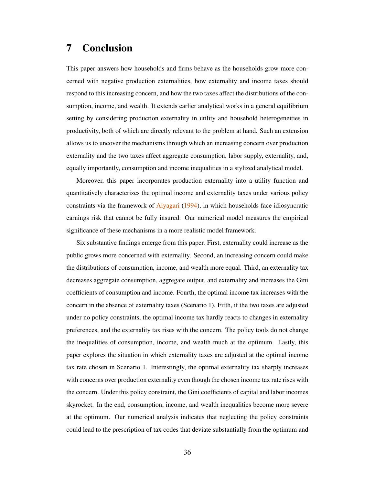## <span id="page-36-0"></span>7 Conclusion

This paper answers how households and firms behave as the households grow more concerned with negative production externalities, how externality and income taxes should respond to this increasing concern, and how the two taxes affect the distributions of the consumption, income, and wealth. It extends earlier analytical works in a general equilibrium setting by considering production externality in utility and household heterogeneities in productivity, both of which are directly relevant to the problem at hand. Such an extension allows us to uncover the mechanisms through which an increasing concern over production externality and the two taxes affect aggregate consumption, labor supply, externality, and, equally importantly, consumption and income inequalities in a stylized analytical model.

Moreover, this paper incorporates production externality into a utility function and quantitatively characterizes the optimal income and externality taxes under various policy constraints via the framework of [Aiyagari](#page-39-0) [\(1994\)](#page-39-0), in which households face idiosyncratic earnings risk that cannot be fully insured. Our numerical model measures the empirical significance of these mechanisms in a more realistic model framework.

Six substantive findings emerge from this paper. First, externality could increase as the public grows more concerned with externality. Second, an increasing concern could make the distributions of consumption, income, and wealth more equal. Third, an externality tax decreases aggregate consumption, aggregate output, and externality and increases the Gini coefficients of consumption and income. Fourth, the optimal income tax increases with the concern in the absence of externality taxes (Scenario 1). Fifth, if the two taxes are adjusted under no policy constraints, the optimal income tax hardly reacts to changes in externality preferences, and the externality tax rises with the concern. The policy tools do not change the inequalities of consumption, income, and wealth much at the optimum. Lastly, this paper explores the situation in which externality taxes are adjusted at the optimal income tax rate chosen in Scenario 1. Interestingly, the optimal externality tax sharply increases with concerns over production externality even though the chosen income tax rate rises with the concern. Under this policy constraint, the Gini coefficients of capital and labor incomes skyrocket. In the end, consumption, income, and wealth inequalities become more severe at the optimum. Our numerical analysis indicates that neglecting the policy constraints could lead to the prescription of tax codes that deviate substantially from the optimum and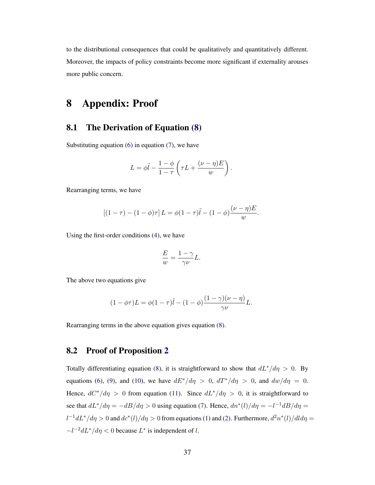to the distributional consequences that could be qualitatively and quantitatively different. Moreover, the impacts of policy constraints become more significant if externality arouses more public concern.

## 8 Appendix: Proof

## <span id="page-37-0"></span>8.1 The Derivation of Equation [\(8\)](#page-9-2)

Substituting equation  $(6)$  in equation  $(7)$ , we have

$$
L = \phi \tilde{l} - \frac{1-\phi}{1-\tau} \left( \tau L + \frac{(\nu - \eta)E}{w} \right).
$$

Rearranging terms, we have

$$
[(1 - \tau) - (1 - \phi)\tau] L = \phi(1 - \tau)\tilde{l} - (1 - \phi)\frac{(\nu - \eta)E}{w}.
$$

Using the first-order conditions [\(4\)](#page-7-3), we have

$$
\frac{E}{w} = \frac{1 - \gamma}{\gamma \nu} L.
$$

The above two equations give

$$
(1 - \phi \tau)L = \phi(1 - \tau)\tilde{l} - (1 - \phi)\frac{(1 - \gamma)(\nu - \eta)}{\gamma \nu}L.
$$

Rearranging terms in the above equation gives equation [\(8\)](#page-9-2).

## <span id="page-37-1"></span>8.2 Proof of Proposition [2](#page-12-0)

Totally differentiating equation [\(8\)](#page-9-2), it is straightforward to show that  $dL^*/d\eta > 0$ . By equations [\(6\)](#page-9-0), [\(9\)](#page-9-3), and [\(10\)](#page-9-4), we have  $dE^* / d\eta > 0$ ,  $dT^* / d\eta > 0$ , and  $dw/d\eta = 0$ . Hence,  $dC^*/d\eta > 0$  from equation [\(11\)](#page-10-0). Since  $dL^*/d\eta > 0$ , it is straightforward to see that  $dL^*/d\eta = -dB/d\eta > 0$  using equation [\(7\)](#page-9-1). Hence,  $dn^*(l)/d\eta = -l^{-1}dB/d\eta =$  $l^{-1}dL^*/d\eta > 0$  and  $dc^*(l)/d\eta > 0$  from equations [\(1\)](#page-5-1) and [\(2\)](#page-6-0). Furthermore,  $d^2n^*(l)/dld\eta =$  $-l^{-2}dL^{*}/d\eta < 0$  because  $L^{*}$  is independent of l.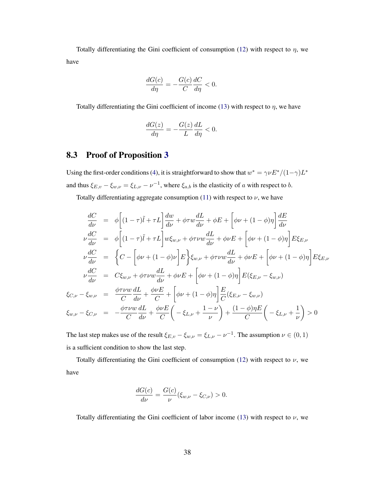Totally differentiating the Gini coefficient of consumption [\(12\)](#page-10-1) with respect to  $\eta$ , we have

$$
\frac{dG(c)}{d\eta} = -\frac{G(c)}{C}\frac{dC}{d\eta} < 0.
$$

Totally differentiating the Gini coefficient of income [\(13\)](#page-10-2) with respect to  $\eta$ , we have

$$
\frac{dG(z)}{d\eta} = -\frac{G(z)}{L}\frac{dL}{d\eta} < 0.
$$

## <span id="page-38-0"></span>8.3 Proof of Proposition [3](#page-13-0)

Using the first-order conditions [\(4\)](#page-7-3), it is straightforward to show that  $w^* = \gamma \nu E^* / (1 - \gamma) L^*$ and thus  $\xi_{E,v} - \xi_{w,v} = \xi_{L,v} - v^{-1}$ , where  $\xi_{a,b}$  is the elasticity of a with respect to b.

Totally differentiating aggregate consumption [\(11\)](#page-10-0) with respect to  $\nu$ , we have

$$
\frac{dC}{d\nu} = \phi \left[ (1 - \tau)\tilde{l} + \tau L \right] \frac{dw}{d\nu} + \phi \tau w \frac{dL}{d\nu} + \phi E + \left[ \phi \nu + (1 - \phi)\eta \right] \frac{dE}{d\nu}
$$
\n
$$
\nu \frac{dC}{d\nu} = \phi \left[ (1 - \tau)\tilde{l} + \tau L \right] w \xi_{w,\nu} + \phi \tau \nu w \frac{dL}{d\nu} + \phi \nu E + \left[ \phi \nu + (1 - \phi)\eta \right] E \xi_{E,\nu}
$$
\n
$$
\nu \frac{dC}{d\nu} = \left\{ C - \left[ \phi \nu + (1 - \phi)\nu \right] E \right\} \xi_{w,\nu} + \phi \tau \nu w \frac{dL}{d\nu} + \phi \nu E + \left[ \phi \nu + (1 - \phi)\eta \right] E \xi_{E,\nu}
$$
\n
$$
\nu \frac{dC}{d\nu} = C \xi_{w,\nu} + \phi \tau \nu w \frac{dL}{d\nu} + \phi \nu E + \left[ \phi \nu + (1 - \phi)\eta \right] E (\xi_{E,\nu} - \xi_{w,\nu})
$$
\n
$$
\xi_{C,\nu} - \xi_{w,\nu} = \frac{\phi \tau \nu w}{C} \frac{dL}{d\nu} + \frac{\phi \nu E}{C} + \left[ \phi \nu + (1 - \phi)\eta \right] \frac{E}{C} (\xi_{E,\nu} - \xi_{w,\nu})
$$
\n
$$
\xi_{w,\nu} - \xi_{C,\nu} = -\frac{\phi \tau \nu w}{C} \frac{dL}{d\nu} + \frac{\phi \nu E}{C} \left( -\xi_{L,\nu} + \frac{1 - \nu}{\nu} \right) + \frac{(1 - \phi)\eta E}{C} \left( -\xi_{L,\nu} + \frac{1}{\nu} \right) > 0
$$

The last step makes use of the result  $\xi_{E,v} - \xi_{w,v} = \xi_{L,v} - v^{-1}$ . The assumption  $v \in (0,1)$ is a sufficient condition to show the last step.

Totally differentiating the Gini coefficient of consumption [\(12\)](#page-10-1) with respect to  $\nu$ , we have

$$
\frac{dG(c)}{d\nu} = \frac{G(c)}{\nu} (\xi_{w,\nu} - \xi_{C,\nu}) > 0.
$$

Totally differentiating the Gini coefficient of labor income [\(13\)](#page-10-2) with respect to  $\nu$ , we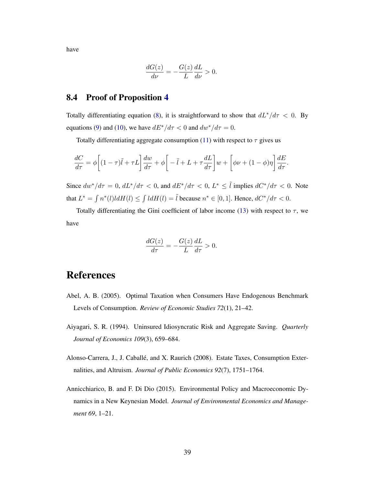have

$$
\frac{dG(z)}{d\nu} = -\frac{G(z)}{L}\frac{dL}{d\nu} > 0.
$$

### <span id="page-39-3"></span>8.4 Proof of Proposition [4](#page-13-1)

Totally differentiating equation [\(8\)](#page-9-2), it is straightforward to show that  $dL^*/d\tau < 0$ . By equations [\(9\)](#page-9-3) and [\(10\)](#page-9-4), we have  $dE^*/d\tau < 0$  and  $dw^*/d\tau = 0$ .

Totally differentiating aggregate consumption [\(11\)](#page-10-0) with respect to  $\tau$  gives us

$$
\frac{dC}{d\tau} = \phi \left[ (1 - \tau)\tilde{l} + \tau L \right] \frac{dw}{d\tau} + \phi \left[ -\tilde{l} + L + \tau \frac{dL}{d\tau} \right] w + \left[ \phi \nu + (1 - \phi)\eta \right] \frac{dE}{d\tau}.
$$

Since  $dw^*/d\tau = 0$ ,  $dL^*/d\tau < 0$ , and  $dE^*/d\tau < 0$ ,  $L^* \leq \tilde{l}$  implies  $dC^*/d\tau < 0$ . Note that  $L^* = \int n^*(l) l dH(l) \le \int l dH(l) = \tilde{l}$  because  $n^* \in [0, 1]$ . Hence,  $dC^* / d\tau < 0$ .

Totally differentiating the Gini coefficient of labor income [\(13\)](#page-10-2) with respect to  $\tau$ , we have

$$
\frac{dG(z)}{d\tau} = -\frac{G(z)}{L}\frac{dL}{d\tau} > 0.
$$

## References

- <span id="page-39-1"></span>Abel, A. B. (2005). Optimal Taxation when Consumers Have Endogenous Benchmark Levels of Consumption. *Review of Economic Studies 72*(1), 21–42.
- <span id="page-39-0"></span>Aiyagari, S. R. (1994). Uninsured Idiosyncratic Risk and Aggregate Saving. *Quarterly Journal of Economics 109*(3), 659–684.
- <span id="page-39-2"></span>Alonso-Carrera, J., J. Caballé, and X. Raurich (2008). Estate Taxes, Consumption Externalities, and Altruism. *Journal of Public Economics 92*(7), 1751–1764.
- <span id="page-39-4"></span>Annicchiarico, B. and F. Di Dio (2015). Environmental Policy and Macroeconomic Dynamics in a New Keynesian Model. *Journal of Environmental Economics and Management 69*, 1–21.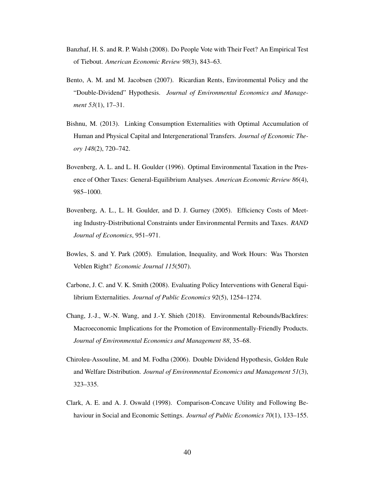- <span id="page-40-7"></span>Banzhaf, H. S. and R. P. Walsh (2008). Do People Vote with Their Feet? An Empirical Test of Tiebout. *American Economic Review 98*(3), 843–63.
- <span id="page-40-3"></span>Bento, A. M. and M. Jacobsen (2007). Ricardian Rents, Environmental Policy and the "Double-Dividend" Hypothesis. *Journal of Environmental Economics and Management 53*(1), 17–31.
- <span id="page-40-6"></span>Bishnu, M. (2013). Linking Consumption Externalities with Optimal Accumulation of Human and Physical Capital and Intergenerational Transfers. *Journal of Economic Theory 148*(2), 720–742.
- <span id="page-40-1"></span>Bovenberg, A. L. and L. H. Goulder (1996). Optimal Environmental Taxation in the Presence of Other Taxes: General-Equilibrium Analyses. *American Economic Review 86*(4), 985–1000.
- <span id="page-40-0"></span>Bovenberg, A. L., L. H. Goulder, and D. J. Gurney (2005). Efficiency Costs of Meeting Industry-Distributional Constraints under Environmental Permits and Taxes. *RAND Journal of Economics*, 951–971.
- <span id="page-40-5"></span>Bowles, S. and Y. Park (2005). Emulation, Inequality, and Work Hours: Was Thorsten Veblen Right? *Economic Journal 115*(507).
- <span id="page-40-2"></span>Carbone, J. C. and V. K. Smith (2008). Evaluating Policy Interventions with General Equilibrium Externalities. *Journal of Public Economics 92*(5), 1254–1274.
- <span id="page-40-8"></span>Chang, J.-J., W.-N. Wang, and J.-Y. Shieh (2018). Environmental Rebounds/Backfires: Macroeconomic Implications for the Promotion of Environmentally-Friendly Products. *Journal of Environmental Economics and Management 88*, 35–68.
- <span id="page-40-9"></span>Chiroleu-Assouline, M. and M. Fodha (2006). Double Dividend Hypothesis, Golden Rule and Welfare Distribution. *Journal of Environmental Economics and Management 51*(3), 323–335.
- <span id="page-40-4"></span>Clark, A. E. and A. J. Oswald (1998). Comparison-Concave Utility and Following Behaviour in Social and Economic Settings. *Journal of Public Economics 70*(1), 133–155.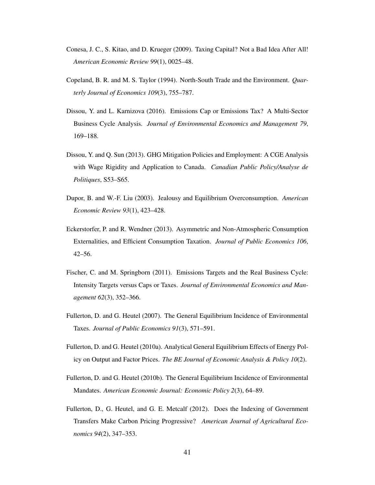- <span id="page-41-7"></span>Conesa, J. C., S. Kitao, and D. Krueger (2009). Taxing Capital? Not a Bad Idea After All! *American Economic Review 99*(1), 0025–48.
- <span id="page-41-5"></span>Copeland, B. R. and M. S. Taylor (1994). North-South Trade and the Environment. *Quarterly Journal of Economics 109*(3), 755–787.
- <span id="page-41-9"></span>Dissou, Y. and L. Karnizova (2016). Emissions Cap or Emissions Tax? A Multi-Sector Business Cycle Analysis. *Journal of Environmental Economics and Management 79*, 169–188.
- <span id="page-41-10"></span>Dissou, Y. and Q. Sun (2013). GHG Mitigation Policies and Employment: A CGE Analysis with Wage Rigidity and Application to Canada. *Canadian Public Policy/Analyse de Politiques*, S53–S65.
- <span id="page-41-0"></span>Dupor, B. and W.-F. Liu (2003). Jealousy and Equilibrium Overconsumption. *American Economic Review 93*(1), 423–428.
- <span id="page-41-1"></span>Eckerstorfer, P. and R. Wendner (2013). Asymmetric and Non-Atmospheric Consumption Externalities, and Efficient Consumption Taxation. *Journal of Public Economics 106*, 42–56.
- <span id="page-41-8"></span>Fischer, C. and M. Springborn (2011). Emissions Targets and the Real Business Cycle: Intensity Targets versus Caps or Taxes. *Journal of Environmental Economics and Management 62*(3), 352–366.
- <span id="page-41-2"></span>Fullerton, D. and G. Heutel (2007). The General Equilibrium Incidence of Environmental Taxes. *Journal of Public Economics 91*(3), 571–591.
- <span id="page-41-3"></span>Fullerton, D. and G. Heutel (2010a). Analytical General Equilibrium Effects of Energy Policy on Output and Factor Prices. *The BE Journal of Economic Analysis & Policy 10*(2).
- <span id="page-41-6"></span>Fullerton, D. and G. Heutel (2010b). The General Equilibrium Incidence of Environmental Mandates. *American Economic Journal: Economic Policy 2*(3), 64–89.
- <span id="page-41-4"></span>Fullerton, D., G. Heutel, and G. E. Metcalf (2012). Does the Indexing of Government Transfers Make Carbon Pricing Progressive? *American Journal of Agricultural Economics 94*(2), 347–353.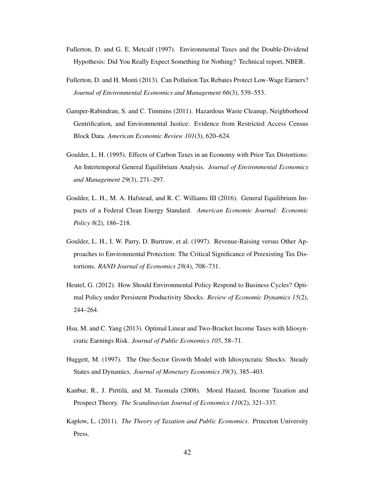- <span id="page-42-3"></span>Fullerton, D. and G. E. Metcalf (1997). Environmental Taxes and the Double-Dividend Hypothesis: Did You Really Expect Something for Nothing? Technical report, NBER.
- <span id="page-42-0"></span>Fullerton, D. and H. Monti (2013). Can Pollution Tax Rebates Protect Low-Wage Earners? *Journal of Environmental Economics and Management 66*(3), 539–553.
- <span id="page-42-6"></span>Gamper-Rabindran, S. and C. Timmins (2011). Hazardous Waste Cleanup, Neighborhood Gentrification, and Environmental Justice: Evidence from Restricted Access Census Block Data. *American Economic Review 101*(3), 620–624.
- <span id="page-42-1"></span>Goulder, L. H. (1995). Effects of Carbon Taxes in an Economy with Prior Tax Distortions: An Intertemporal General Equilibrium Analysis. *Journal of Environmental Economics and Management 29*(3), 271–297.
- <span id="page-42-7"></span>Goulder, L. H., M. A. Hafstead, and R. C. Williams III (2016). General Equilibrium Impacts of a Federal Clean Energy Standard. *American Economic Journal: Economic Policy 8*(2), 186–218.
- <span id="page-42-2"></span>Goulder, L. H., I. W. Parry, D. Burtraw, et al. (1997). Revenue-Raising versus Other Approaches to Environmental Protection: The Critical Significance of Preexisting Tax Distortions. *RAND Journal of Economics 28*(4), 708–731.
- <span id="page-42-8"></span>Heutel, G. (2012). How Should Environmental Policy Respond to Business Cycles? Optimal Policy under Persistent Productivity Shocks. *Review of Economic Dynamics 15*(2), 244–264.
- <span id="page-42-4"></span>Hsu, M. and C. Yang (2013). Optimal Linear and Two-Bracket Income Taxes with Idiosyncratic Earnings Risk. *Journal of Public Economics 105*, 58–71.
- <span id="page-42-9"></span>Huggett, M. (1997). The One-Sector Growth Model with Idiosyncratic Shocks: Steady States and Dynamics. *Journal of Monetary Economics 39*(3), 385–403.
- <span id="page-42-5"></span>Kanbur, R., J. Pirttilä, and M. Tuomala (2008). Moral Hazard, Income Taxation and Prospect Theory. *The Scandinavian Journal of Economics 110*(2), 321–337.
- <span id="page-42-10"></span>Kaplow, L. (2011). *The Theory of Taxation and Public Economics*. Princeton University Press.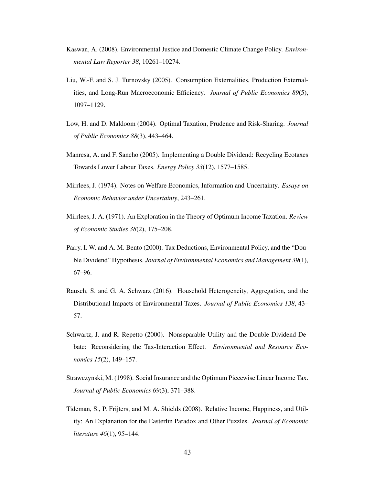- <span id="page-43-8"></span>Kaswan, A. (2008). Environmental Justice and Domestic Climate Change Policy. *Environmental Law Reporter 38*, 10261–10274.
- <span id="page-43-9"></span>Liu, W.-F. and S. J. Turnovsky (2005). Consumption Externalities, Production Externalities, and Long-Run Macroeconomic Efficiency. *Journal of Public Economics 89*(5), 1097–1129.
- <span id="page-43-6"></span>Low, H. and D. Maldoom (2004). Optimal Taxation, Prudence and Risk-Sharing. *Journal of Public Economics 88*(3), 443–464.
- <span id="page-43-10"></span>Manresa, A. and F. Sancho (2005). Implementing a Double Dividend: Recycling Ecotaxes Towards Lower Labour Taxes. *Energy Policy 33*(12), 1577–1585.
- <span id="page-43-4"></span>Mirrlees, J. (1974). Notes on Welfare Economics, Information and Uncertainty. *Essays on Economic Behavior under Uncertainty*, 243–261.
- <span id="page-43-3"></span>Mirrlees, J. A. (1971). An Exploration in the Theory of Optimum Income Taxation. *Review of Economic Studies 38*(2), 175–208.
- <span id="page-43-2"></span>Parry, I. W. and A. M. Bento (2000). Tax Deductions, Environmental Policy, and the "Double Dividend" Hypothesis. *Journal of Environmental Economics and Management 39*(1), 67–96.
- <span id="page-43-1"></span>Rausch, S. and G. A. Schwarz (2016). Household Heterogeneity, Aggregation, and the Distributional Impacts of Environmental Taxes. *Journal of Public Economics 138*, 43– 57.
- <span id="page-43-0"></span>Schwartz, J. and R. Repetto (2000). Nonseparable Utility and the Double Dividend Debate: Reconsidering the Tax-Interaction Effect. *Environmental and Resource Economics 15*(2), 149–157.
- <span id="page-43-5"></span>Strawczynski, M. (1998). Social Insurance and the Optimum Piecewise Linear Income Tax. *Journal of Public Economics 69*(3), 371–388.
- <span id="page-43-7"></span>Tideman, S., P. Frijters, and M. A. Shields (2008). Relative Income, Happiness, and Utility: An Explanation for the Easterlin Paradox and Other Puzzles. *Journal of Economic literature 46*(1), 95–144.